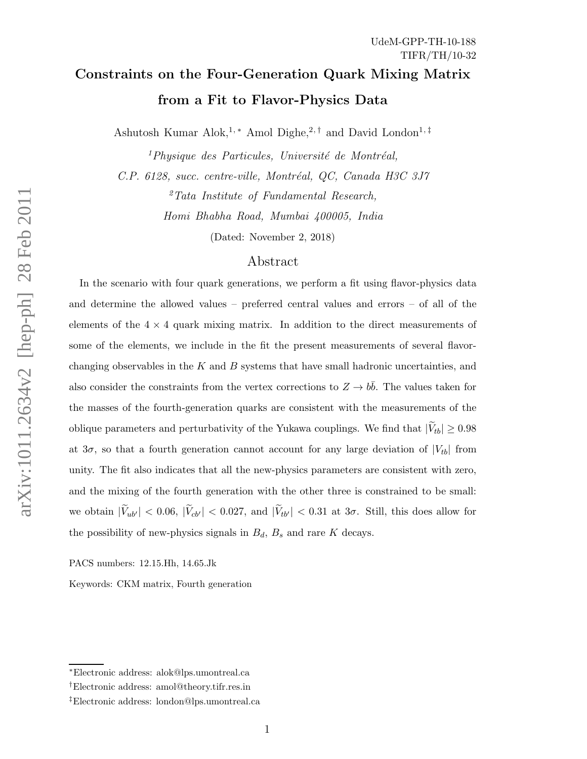# Constraints on the Four-Generation Quark Mixing Matrix from a Fit to Flavor-Physics Data

Ashutosh Kumar Alok,<sup>1,\*</sup> Amol Dighe,<sup>2,†</sup> and David London<sup>1,‡</sup>

 $<sup>1</sup> Physique des Particules, Université de Montréal,$ </sup> C.P. 6128, succ. centre-ville, Montréal, QC, Canada H3C 3J7  ${}^{2}Tata$  Institute of Fundamental Research, Homi Bhabha Road, Mumbai 400005, India

(Dated: November 2, 2018)

### Abstract

In the scenario with four quark generations, we perform a fit using flavor-physics data and determine the allowed values – preferred central values and errors – of all of the elements of the  $4 \times 4$  quark mixing matrix. In addition to the direct measurements of some of the elements, we include in the fit the present measurements of several flavorchanging observables in the  $K$  and  $B$  systems that have small hadronic uncertainties, and also consider the constraints from the vertex corrections to  $Z \to b\bar{b}$ . The values taken for the masses of the fourth-generation quarks are consistent with the measurements of the oblique parameters and perturbativity of the Yukawa couplings. We find that  $|V_{tb}| \geq 0.98$ at  $3\sigma$ , so that a fourth generation cannot account for any large deviation of  $|V_{tb}|$  from unity. The fit also indicates that all the new-physics parameters are consistent with zero, and the mixing of the fourth generation with the other three is constrained to be small: we obtain  $|V_{ub'}| < 0.06$ ,  $|V_{cb'}| < 0.027$ , and  $|V_{tb'}| < 0.31$  at  $3\sigma$ . Still, this does allow for the possibility of new-physics signals in  $B_d$ ,  $B_s$  and rare K decays.

PACS numbers: 12.15.Hh, 14.65.Jk

Keywords: CKM matrix, Fourth generation

<sup>∗</sup>Electronic address: alok@lps.umontreal.ca

<sup>†</sup>Electronic address: amol@theory.tifr.res.in

<sup>‡</sup>Electronic address: london@lps.umontreal.ca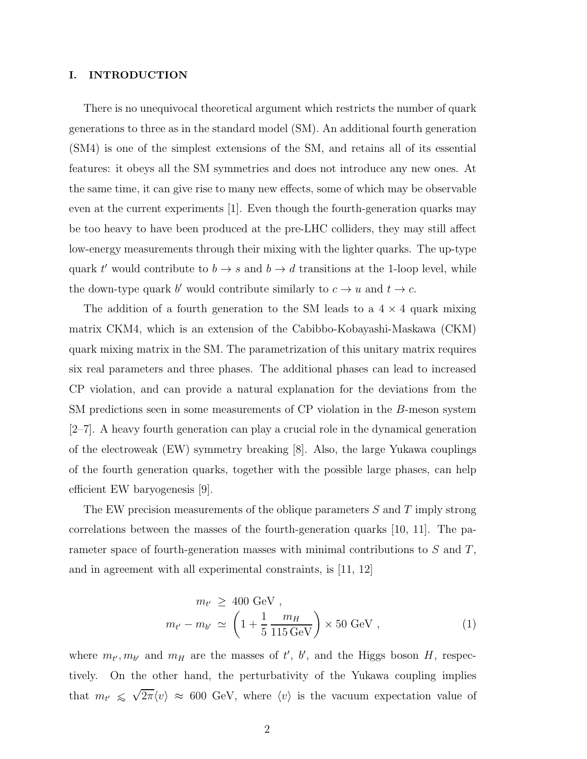### I. INTRODUCTION

There is no unequivocal theoretical argument which restricts the number of quark generations to three as in the standard model (SM). An additional fourth generation (SM4) is one of the simplest extensions of the SM, and retains all of its essential features: it obeys all the SM symmetries and does not introduce any new ones. At the same time, it can give rise to many new effects, some of which may be observable even at the current experiments [1]. Even though the fourth-generation quarks may be too heavy to have been produced at the pre-LHC colliders, they may still affect low-energy measurements through their mixing with the lighter quarks. The up-type quark t' would contribute to  $b \to s$  and  $b \to d$  transitions at the 1-loop level, while the down-type quark b' would contribute similarly to  $c \to u$  and  $t \to c$ .

The addition of a fourth generation to the SM leads to a  $4 \times 4$  quark mixing matrix CKM4, which is an extension of the Cabibbo-Kobayashi-Maskawa (CKM) quark mixing matrix in the SM. The parametrization of this unitary matrix requires six real parameters and three phases. The additional phases can lead to increased CP violation, and can provide a natural explanation for the deviations from the SM predictions seen in some measurements of CP violation in the B-meson system [2–7]. A heavy fourth generation can play a crucial role in the dynamical generation of the electroweak (EW) symmetry breaking [8]. Also, the large Yukawa couplings of the fourth generation quarks, together with the possible large phases, can help efficient EW baryogenesis [9].

The EW precision measurements of the oblique parameters  $S$  and  $T$  imply strong correlations between the masses of the fourth-generation quarks [10, 11]. The parameter space of fourth-generation masses with minimal contributions to S and T, and in agreement with all experimental constraints, is [11, 12]

$$
m_{t'} \ge 400 \text{ GeV} ,
$$
  

$$
m_{t'} - m_{b'} \simeq \left(1 + \frac{1}{5} \frac{m_H}{115 \text{ GeV}}\right) \times 50 \text{ GeV} ,
$$
 (1)

where  $m_{t}$ ,  $m_{b}$  and  $m_H$  are the masses of t', b', and the Higgs boson H, respectively. On the other hand, the perturbativity of the Yukawa coupling implies that  $m_{t'} \leq \sqrt{2\pi \langle v \rangle} \approx 600$  GeV, where  $\langle v \rangle$  is the vacuum expectation value of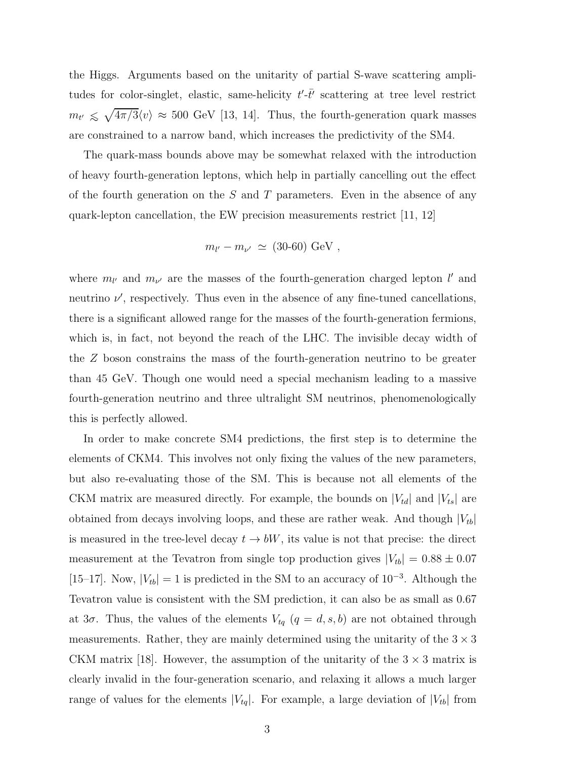the Higgs. Arguments based on the unitarity of partial S-wave scattering amplitudes for color-singlet, elastic, same-helicity  $t'$ - $\bar{t}'$  scattering at tree level restrict  $m_{t'} \leq \sqrt{4\pi/3} \langle v \rangle \approx 500$  GeV [13, 14]. Thus, the fourth-generation quark masses are constrained to a narrow band, which increases the predictivity of the SM4.

The quark-mass bounds above may be somewhat relaxed with the introduction of heavy fourth-generation leptons, which help in partially cancelling out the effect of the fourth generation on the  $S$  and  $T$  parameters. Even in the absence of any quark-lepton cancellation, the EW precision measurements restrict [11, 12]

$$
m_{l'} - m_{\nu'} \simeq (30{\text -}60) \text{ GeV}
$$
,

where  $m_{l'}$  and  $m_{\nu'}$  are the masses of the fourth-generation charged lepton  $l'$  and neutrino  $\nu'$ , respectively. Thus even in the absence of any fine-tuned cancellations, there is a significant allowed range for the masses of the fourth-generation fermions, which is, in fact, not beyond the reach of the LHC. The invisible decay width of the Z boson constrains the mass of the fourth-generation neutrino to be greater than 45 GeV. Though one would need a special mechanism leading to a massive fourth-generation neutrino and three ultralight SM neutrinos, phenomenologically this is perfectly allowed.

In order to make concrete SM4 predictions, the first step is to determine the elements of CKM4. This involves not only fixing the values of the new parameters, but also re-evaluating those of the SM. This is because not all elements of the CKM matrix are measured directly. For example, the bounds on  $|V_{td}|$  and  $|V_{ts}|$  are obtained from decays involving loops, and these are rather weak. And though  $|V_{tb}|$ is measured in the tree-level decay  $t \rightarrow bW$ , its value is not that precise: the direct measurement at the Tevatron from single top production gives  $|V_{tb}| = 0.88 \pm 0.07$ [15–17]. Now,  $|V_{tb}| = 1$  is predicted in the SM to an accuracy of  $10^{-3}$ . Although the Tevatron value is consistent with the SM prediction, it can also be as small as 0.67 at  $3\sigma$ . Thus, the values of the elements  $V_{tq}$   $(q = d, s, b)$  are not obtained through measurements. Rather, they are mainly determined using the unitarity of the  $3 \times 3$ CKM matrix [18]. However, the assumption of the unitarity of the  $3 \times 3$  matrix is clearly invalid in the four-generation scenario, and relaxing it allows a much larger range of values for the elements  $|V_{tq}|$ . For example, a large deviation of  $|V_{tb}|$  from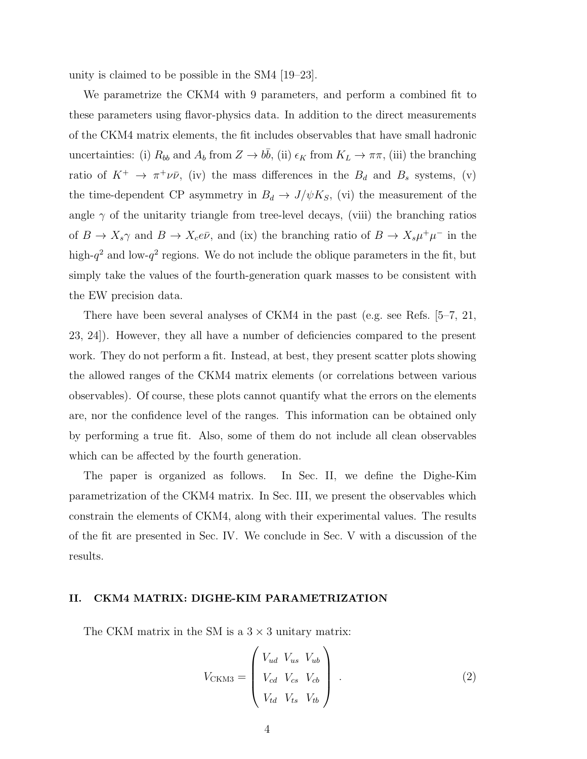unity is claimed to be possible in the SM4 [19–23].

We parametrize the CKM4 with 9 parameters, and perform a combined fit to these parameters using flavor-physics data. In addition to the direct measurements of the CKM4 matrix elements, the fit includes observables that have small hadronic uncertainties: (i)  $R_{bb}$  and  $A_b$  from  $Z \to b\bar{b}$ , (ii)  $\epsilon_K$  from  $K_L \to \pi\pi$ , (iii) the branching ratio of  $K^+$   $\rightarrow \pi^+ \nu \bar{\nu}$ , (iv) the mass differences in the  $B_d$  and  $B_s$  systems, (v) the time-dependent CP asymmetry in  $B_d \rightarrow J/\psi K_S$ , (vi) the measurement of the angle  $\gamma$  of the unitarity triangle from tree-level decays, (viii) the branching ratios of  $B \to X_s \gamma$  and  $B \to X_c e \bar{\nu}$ , and (ix) the branching ratio of  $B \to X_s \mu^+ \mu^-$  in the high- $q^2$  and low- $q^2$  regions. We do not include the oblique parameters in the fit, but simply take the values of the fourth-generation quark masses to be consistent with the EW precision data.

There have been several analyses of CKM4 in the past (e.g. see Refs. [5–7, 21, 23, 24]). However, they all have a number of deficiencies compared to the present work. They do not perform a fit. Instead, at best, they present scatter plots showing the allowed ranges of the CKM4 matrix elements (or correlations between various observables). Of course, these plots cannot quantify what the errors on the elements are, nor the confidence level of the ranges. This information can be obtained only by performing a true fit. Also, some of them do not include all clean observables which can be affected by the fourth generation.

The paper is organized as follows. In Sec. II, we define the Dighe-Kim parametrization of the CKM4 matrix. In Sec. III, we present the observables which constrain the elements of CKM4, along with their experimental values. The results of the fit are presented in Sec. IV. We conclude in Sec. V with a discussion of the results.

### II. CKM4 MATRIX: DIGHE-KIM PARAMETRIZATION

The CKM matrix in the SM is a  $3 \times 3$  unitary matrix:

$$
V_{\text{CKM3}} = \begin{pmatrix} V_{ud} & V_{us} & V_{ub} \\ V_{cd} & V_{cs} & V_{cb} \\ V_{td} & V_{ts} & V_{tb} \end{pmatrix} . \tag{2}
$$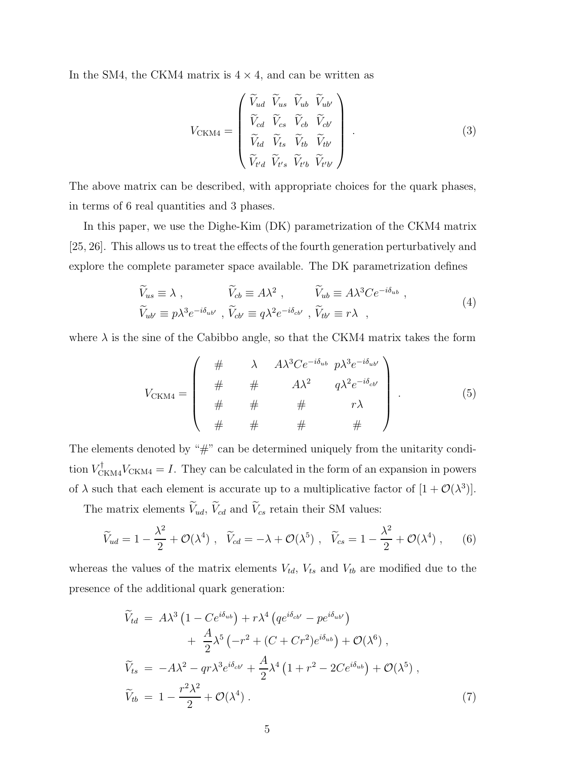In the SM4, the CKM4 matrix is  $4 \times 4$ , and can be written as

$$
V_{\text{CKM4}} = \begin{pmatrix} \widetilde{V}_{ud} & \widetilde{V}_{us} & \widetilde{V}_{ub} & \widetilde{V}_{ub'} \\ \widetilde{V}_{cd} & \widetilde{V}_{cs} & \widetilde{V}_{cb} & \widetilde{V}_{cb'} \\ \widetilde{V}_{td} & \widetilde{V}_{ts} & \widetilde{V}_{tb} & \widetilde{V}_{tb'} \\ \widetilde{V}_{t'd} & \widetilde{V}_{t's} & \widetilde{V}_{t'b} & \widetilde{V}_{t'b'} \end{pmatrix} . \tag{3}
$$

The above matrix can be described, with appropriate choices for the quark phases, in terms of 6 real quantities and 3 phases.

In this paper, we use the Dighe-Kim (DK) parametrization of the CKM4 matrix [25, 26]. This allows us to treat the effects of the fourth generation perturbatively and explore the complete parameter space available. The DK parametrization defines

$$
\widetilde{V}_{us} \equiv \lambda , \qquad \widetilde{V}_{cb} \equiv A\lambda^2 , \qquad \widetilde{V}_{ub} \equiv A\lambda^3 C e^{-i\delta_{ub}} ,
$$
\n
$$
\widetilde{V}_{ub'} \equiv p\lambda^3 e^{-i\delta_{ub'}} , \qquad \widetilde{V}_{cb'} \equiv q\lambda^2 e^{-i\delta_{cb'}} , \qquad \widetilde{V}_{tb'} \equiv r\lambda ,
$$
\n(4)

where  $\lambda$  is the sine of the Cabibbo angle, so that the CKM4 matrix takes the form

$$
V_{\text{CKM4}} = \left(\begin{array}{cccc} \# & \lambda & A\lambda^3 C e^{-i\delta_{ub}} & p\lambda^3 e^{-i\delta_{ub'}}\\ \# & \# & A\lambda^2 & q\lambda^2 e^{-i\delta_{cb'}}\\ \# & \# & \# & r\lambda\\ \# & \# & \# & \# \end{array}\right) \tag{5}
$$

The elements denoted by "#" can be determined uniquely from the unitarity condition  $V_{\text{CKM4}}^{\dagger}V_{\text{CKM4}} = I$ . They can be calculated in the form of an expansion in powers of  $\lambda$  such that each element is accurate up to a multiplicative factor of  $[1 + \mathcal{O}(\lambda^3)]$ .

The matrix elements  $\widetilde{V}_{ud}$ ,  $\widetilde{V}_{cd}$  and  $\widetilde{V}_{cs}$  retain their SM values:

$$
\widetilde{V}_{ud} = 1 - \frac{\lambda^2}{2} + \mathcal{O}(\lambda^4) , \quad \widetilde{V}_{cd} = -\lambda + \mathcal{O}(\lambda^5) , \quad \widetilde{V}_{cs} = 1 - \frac{\lambda^2}{2} + \mathcal{O}(\lambda^4) , \qquad (6)
$$

whereas the values of the matrix elements  $V_{td}$ ,  $V_{ts}$  and  $V_{tb}$  are modified due to the presence of the additional quark generation:

$$
\widetilde{V}_{td} = A\lambda^3 \left( 1 - Ce^{i\delta_{ub}} \right) + r\lambda^4 \left( qe^{i\delta_{cb'}} - pe^{i\delta_{ub'}} \right) \n+ \frac{A}{2} \lambda^5 \left( -r^2 + (C + Cr^2)e^{i\delta_{ub}} \right) + \mathcal{O}(\lambda^6) , \n\widetilde{V}_{ts} = -A\lambda^2 - qr\lambda^3 e^{i\delta_{cb'}} + \frac{A}{2} \lambda^4 \left( 1 + r^2 - 2Ce^{i\delta_{ub}} \right) + \mathcal{O}(\lambda^5) , \n\widetilde{V}_{tb} = 1 - \frac{r^2 \lambda^2}{2} + \mathcal{O}(\lambda^4) .
$$
\n(7)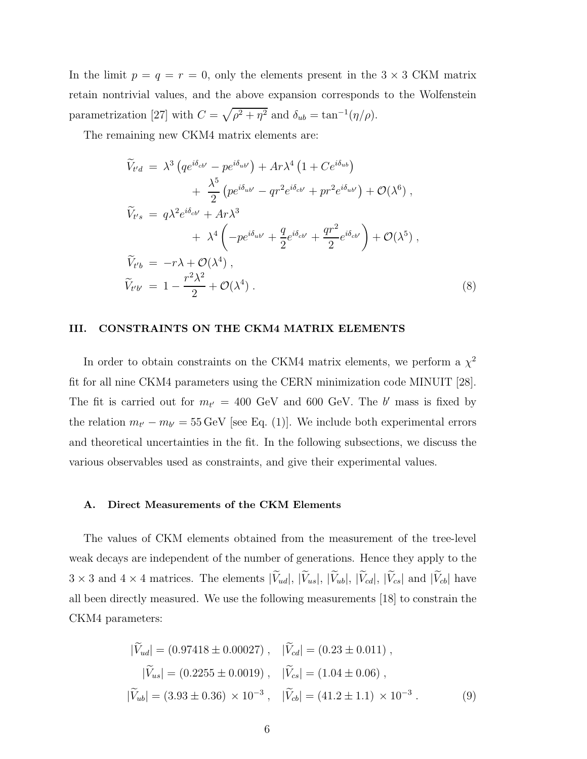In the limit  $p = q = r = 0$ , only the elements present in the  $3 \times 3$  CKM matrix retain nontrivial values, and the above expansion corresponds to the Wolfenstein parametrization [27] with  $C = \sqrt{\rho^2 + \eta^2}$  and  $\delta_{ub} = \tan^{-1}(\eta/\rho)$ .

The remaining new CKM4 matrix elements are:

$$
\widetilde{V}_{t'd} = \lambda^3 \left( q e^{i\delta_{cb'}} - p e^{i\delta_{ub'}} \right) + Ar \lambda^4 \left( 1 + Ce^{i\delta_{ub}} \right) \n+ \frac{\lambda^5}{2} \left( p e^{i\delta_{ub'}} - q r^2 e^{i\delta_{cb'}} + p r^2 e^{i\delta_{ub'}} \right) + \mathcal{O}(\lambda^6) , \n\widetilde{V}_{t's} = q \lambda^2 e^{i\delta_{cb'}} + Ar \lambda^3 \n+ \lambda^4 \left( - p e^{i\delta_{ub'}} + \frac{q}{2} e^{i\delta_{cb'}} + \frac{qr^2}{2} e^{i\delta_{cb'}} \right) + \mathcal{O}(\lambda^5) , \n\widetilde{V}_{t'b} = -r \lambda + \mathcal{O}(\lambda^4) , \n\widetilde{V}_{t'b'} = 1 - \frac{r^2 \lambda^2}{2} + \mathcal{O}(\lambda^4) .
$$
\n(8)

### III. CONSTRAINTS ON THE CKM4 MATRIX ELEMENTS

In order to obtain constraints on the CKM4 matrix elements, we perform a  $\chi^2$ fit for all nine CKM4 parameters using the CERN minimization code MINUIT [28]. The fit is carried out for  $m_{t'} = 400$  GeV and 600 GeV. The b' mass is fixed by the relation  $m_{t'} - m_{b'} = 55 \,\text{GeV}$  [see Eq. (1)]. We include both experimental errors and theoretical uncertainties in the fit. In the following subsections, we discuss the various observables used as constraints, and give their experimental values.

### A. Direct Measurements of the CKM Elements

The values of CKM elements obtained from the measurement of the tree-level weak decays are independent of the number of generations. Hence they apply to the  $3 \times 3$  and  $4 \times 4$  matrices. The elements  $|\widetilde{V}_{ud}|, |\widetilde{V}_{us}|, |\widetilde{V}_{ub}|, |\widetilde{V}_{cd}|, |\widetilde{V}_{cs}|$  and  $|\widetilde{V}_{cb}|$  have all been directly measured. We use the following measurements [18] to constrain the CKM4 parameters:

$$
|\widetilde{V}_{ud}| = (0.97418 \pm 0.00027), \quad |\widetilde{V}_{cd}| = (0.23 \pm 0.011),
$$
  

$$
|\widetilde{V}_{us}| = (0.2255 \pm 0.0019), \quad |\widetilde{V}_{cs}| = (1.04 \pm 0.06),
$$
  

$$
|\widetilde{V}_{ub}| = (3.93 \pm 0.36) \times 10^{-3}, \quad |\widetilde{V}_{cb}| = (41.2 \pm 1.1) \times 10^{-3}.
$$
 (9)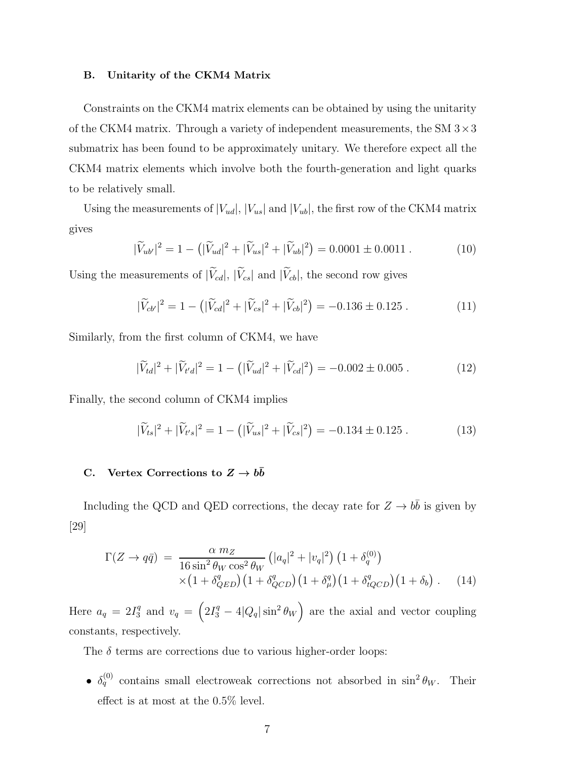#### B. Unitarity of the CKM4 Matrix

Constraints on the CKM4 matrix elements can be obtained by using the unitarity of the CKM4 matrix. Through a variety of independent measurements, the SM  $3 \times 3$ submatrix has been found to be approximately unitary. We therefore expect all the CKM4 matrix elements which involve both the fourth-generation and light quarks to be relatively small.

Using the measurements of  $|V_{ud}|$ ,  $|V_{us}|$  and  $|V_{ub}|$ , the first row of the CKM4 matrix gives

$$
|\widetilde{V}_{ub'}|^2 = 1 - (|\widetilde{V}_{ud}|^2 + |\widetilde{V}_{us}|^2 + |\widetilde{V}_{ub}|^2) = 0.0001 \pm 0.0011 . \qquad (10)
$$

Using the measurements of  $|\widetilde{V}_{cd}|, |\widetilde{V}_{cs}|$  and  $|\widetilde{V}_{cb}|$ , the second row gives

$$
|\widetilde{V}_{cb'}|^2 = 1 - \left(|\widetilde{V}_{cd}|^2 + |\widetilde{V}_{cs}|^2 + |\widetilde{V}_{cb}|^2\right) = -0.136 \pm 0.125 . \tag{11}
$$

Similarly, from the first column of CKM4, we have

$$
|\widetilde{V}_{td}|^2 + |\widetilde{V}_{t'd}|^2 = 1 - (|\widetilde{V}_{ud}|^2 + |\widetilde{V}_{cd}|^2) = -0.002 \pm 0.005 . \tag{12}
$$

Finally, the second column of CKM4 implies

$$
|\widetilde{V}_{ts}|^2 + |\widetilde{V}_{t's}|^2 = 1 - (|\widetilde{V}_{us}|^2 + |\widetilde{V}_{cs}|^2) = -0.134 \pm 0.125 . \tag{13}
$$

# C. Vertex Corrections to  $Z \to b\bar{b}$

Including the QCD and QED corrections, the decay rate for  $Z \to b\bar{b}$  is given by [29]

$$
\Gamma(Z \to q\bar{q}) = \frac{\alpha m_Z}{16 \sin^2 \theta_W \cos^2 \theta_W} \left( |a_q|^2 + |v_q|^2 \right) \left( 1 + \delta_q^{(0)} \right)
$$
  
 
$$
\times \left( 1 + \delta_{QED}^q \right) \left( 1 + \delta_{QCD}^q \right) \left( 1 + \delta_\mu^q \right) \left( 1 + \delta_{tQCD}^q \right) \left( 1 + \delta_b \right) . \tag{14}
$$

Here  $a_q = 2I_3^q$  and  $v_q = \left(2I_3^q - 4|Q_q|\sin^2\theta_W\right)$  are the axial and vector coupling constants, respectively.

The  $\delta$  terms are corrections due to various higher-order loops:

•  $\delta_q^{(0)}$  contains small electroweak corrections not absorbed in sin<sup>2</sup>  $\theta_W$ . Their effect is at most at the 0.5% level.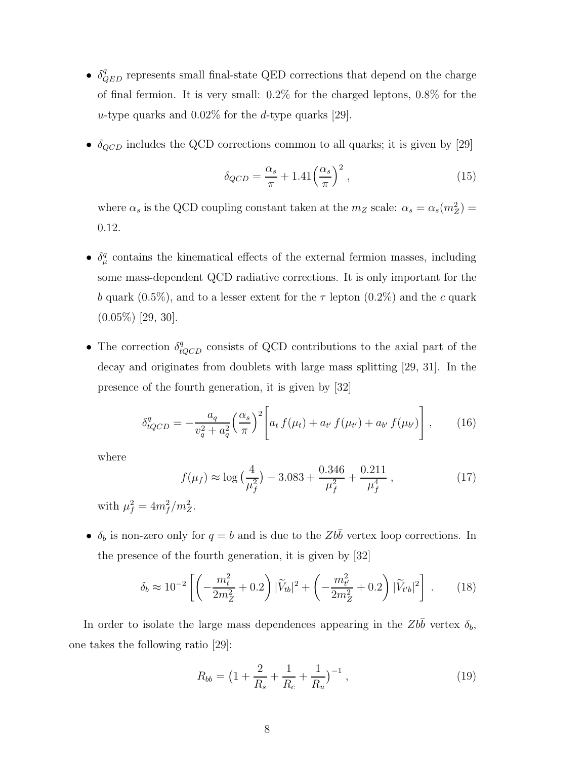- $\bullet$   $\delta^q_{QED}$  represents small final-state QED corrections that depend on the charge of final fermion. It is very small: 0.2% for the charged leptons, 0.8% for the u-type quarks and  $0.02\%$  for the d-type quarks [29].
- $\bullet$   $\delta_{QCD}$  includes the QCD corrections common to all quarks; it is given by [29]

$$
\delta_{QCD} = \frac{\alpha_s}{\pi} + 1.41 \left(\frac{\alpha_s}{\pi}\right)^2,\tag{15}
$$

where  $\alpha_s$  is the QCD coupling constant taken at the  $m_Z$  scale:  $\alpha_s = \alpha_s(m_Z^2)$  = 0.12.

- $\bullet$   $\delta_\mu^q$  contains the kinematical effects of the external fermion masses, including some mass-dependent QCD radiative corrections. It is only important for the b quark (0.5%), and to a lesser extent for the  $\tau$  lepton (0.2%) and the c quark  $(0.05\%)$  [29, 30].
- The correction  $\delta_{tQCD}^q$  consists of QCD contributions to the axial part of the decay and originates from doublets with large mass splitting [29, 31]. In the presence of the fourth generation, it is given by [32]

$$
\delta_{tQCD}^q = -\frac{a_q}{v_q^2 + a_q^2} \left(\frac{\alpha_s}{\pi}\right)^2 \left[ a_t f(\mu_t) + a_{t'} f(\mu_{t'}) + a_{b'} f(\mu_{b'}) \right], \qquad (16)
$$

where

$$
f(\mu_f) \approx \log\left(\frac{4}{\mu_f^2}\right) - 3.083 + \frac{0.346}{\mu_f^2} + \frac{0.211}{\mu_f^4} \,,\tag{17}
$$

with  $\mu_f^2 = 4m_f^2/m_Z^2$ .

•  $\delta_b$  is non-zero only for  $q = b$  and is due to the  $Zb\bar{b}$  vertex loop corrections. In the presence of the fourth generation, it is given by [32]

$$
\delta_b \approx 10^{-2} \left[ \left( -\frac{m_t^2}{2m_Z^2} + 0.2 \right) |\widetilde{V}_{tb}|^2 + \left( -\frac{m_{t'}^2}{2m_Z^2} + 0.2 \right) |\widetilde{V}_{t'b}|^2 \right] \,. \tag{18}
$$

In order to isolate the large mass dependences appearing in the  $Zb\bar{b}$  vertex  $\delta_b$ , one takes the following ratio [29]:

$$
R_{bb} = \left(1 + \frac{2}{R_s} + \frac{1}{R_c} + \frac{1}{R_u}\right)^{-1},\tag{19}
$$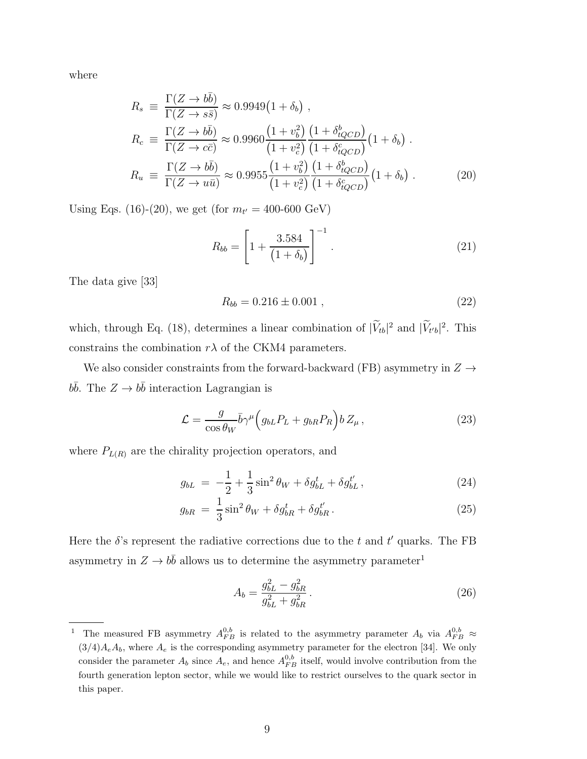where

$$
R_s \equiv \frac{\Gamma(Z \to b\bar{b})}{\Gamma(Z \to s\bar{s})} \approx 0.9949(1 + \delta_b) ,
$$
  
\n
$$
R_c \equiv \frac{\Gamma(Z \to b\bar{b})}{\Gamma(Z \to c\bar{c})} \approx 0.9960 \frac{(1 + v_b^2)(1 + \delta_{tQCD}^b)}{(1 + v_c^2)(1 + \delta_{tQCD}^c)} (1 + \delta_b) .
$$
  
\n
$$
R_u \equiv \frac{\Gamma(Z \to b\bar{b})}{\Gamma(Z \to u\bar{u})} \approx 0.9955 \frac{(1 + v_b^2)(1 + \delta_{tQCD}^b)}{(1 + v_c^2)(1 + \delta_{tQCD}^c)} (1 + \delta_b) .
$$
 (20)

Using Eqs. (16)-(20), we get (for  $m_{t'} = 400{\text -}600 \text{ GeV}$ )

$$
R_{bb} = \left[1 + \frac{3.584}{(1 + \delta_b)}\right]^{-1}.
$$
 (21)

The data give [33]

$$
R_{bb} = 0.216 \pm 0.001 , \qquad (22)
$$

which, through Eq. (18), determines a linear combination of  $|\tilde{V}_{tb}|^2$  and  $|\tilde{V}_{t'b}|^2$ . This constrains the combination  $r\lambda$  of the CKM4 parameters.

We also consider constraints from the forward-backward (FB) asymmetry in  $Z \rightarrow$  $b\bar{b}$ . The  $Z \rightarrow b\bar{b}$  interaction Lagrangian is

$$
\mathcal{L} = \frac{g}{\cos \theta_W} \bar{b} \gamma^\mu \Big( g_{bL} P_L + g_{bR} P_R \Big) b Z_\mu \,, \tag{23}
$$

where  $P_{L(R)}$  are the chirality projection operators, and

$$
g_{bL} = -\frac{1}{2} + \frac{1}{3}\sin^2\theta_W + \delta g_{bL}^t + \delta g_{bL}^{t'},
$$
\n(24)

$$
g_{bR} = \frac{1}{3}\sin^2\theta_W + \delta g_{bR}^t + \delta g_{bR}^{t'}.
$$
 (25)

Here the  $\delta$ 's represent the radiative corrections due to the t and t' quarks. The FB asymmetry in  $Z \to b\bar{b}$  allows us to determine the asymmetry parameter<sup>1</sup>

$$
A_b = \frac{g_{bL}^2 - g_{bR}^2}{g_{bL}^2 + g_{bR}^2} \,. \tag{26}
$$

<sup>&</sup>lt;sup>1</sup> The measured FB asymmetry  $A_{FB}^{0,b}$  is related to the asymmetry parameter  $A_b$  via  $A_{FB}^{0,b} \approx$  $(3/4)A_eA_b$ , where  $A_e$  is the corresponding asymmetry parameter for the electron [34]. We only consider the parameter  $A_b$  since  $A_e$ , and hence  $A_{FB}^{0,b}$  itself, would involve contribution from the fourth generation lepton sector, while we would like to restrict ourselves to the quark sector in this paper.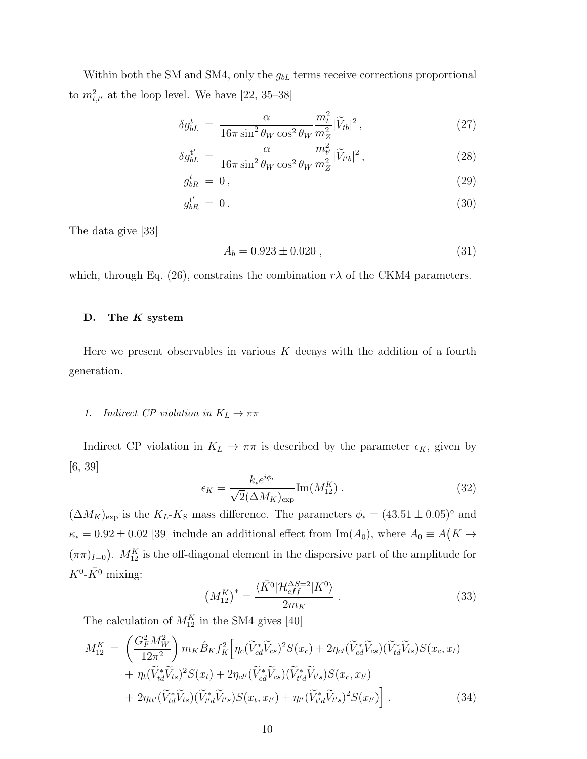Within both the SM and SM4, only the  $g_{bL}$  terms receive corrections proportional to  $m_{t,t'}^2$  at the loop level. We have [22, 35–38]

$$
\delta g_{bL}^t = \frac{\alpha}{16\pi \sin^2 \theta_W \cos^2 \theta_W} \frac{m_t^2}{m_Z^2} |\widetilde{V}_{tb}|^2, \qquad (27)
$$

$$
\delta g_{bL}^{t'} = \frac{\alpha}{16\pi \sin^2 \theta_W \cos^2 \theta_W} \frac{m_{t'}^2}{m_Z^2} |\widetilde{V}_{t'b}|^2, \qquad (28)
$$

$$
g_{bR}^t = 0, \tag{29}
$$

$$
g_{bR}^{t'} = 0. \t\t(30)
$$

The data give [33]

$$
A_b = 0.923 \pm 0.020 , \t\t(31)
$$

which, through Eq. (26), constrains the combination  $r\lambda$  of the CKM4 parameters.

### D. The  $K$  system

Here we present observables in various  $K$  decays with the addition of a fourth generation.

### 1. Indirect CP violation in  $K_L \to \pi\pi$

Indirect CP violation in  $K_L \to \pi \pi$  is described by the parameter  $\epsilon_K$ , given by [6, 39]

$$
\epsilon_K = \frac{k_{\epsilon} e^{i\phi_{\epsilon}}}{\sqrt{2}(\Delta M_K)_{\text{exp}}} \text{Im}(M_{12}^K) \,. \tag{32}
$$

 $(\Delta M_K)_{\rm exp}$  is the  $K_L$ - $K_S$  mass difference. The parameters  $\phi_{\epsilon} = (43.51 \pm 0.05)^{\circ}$  and  $\kappa_{\epsilon} = 0.92 \pm 0.02$  [39] include an additional effect from  $\text{Im}(A_0)$ , where  $A_0 \equiv A(K \rightarrow$  $(\pi \pi)_{I=0}$ ).  $M_{12}^K$  is the off-diagonal element in the dispersive part of the amplitude for  $K^0$ - $\bar{K^0}$  mixing:

$$
\left(M_{12}^K\right)^* = \frac{\langle \bar{K^0} | \mathcal{H}_{eff}^{\Delta S=2} | K^0 \rangle}{2m_K} \ . \tag{33}
$$

The calculation of  $M_{12}^K$  in the SM4 gives [40]

$$
M_{12}^K = \left(\frac{G_F^2 M_W^2}{12\pi^2}\right) m_K \hat{B}_K f_K^2 \left[\eta_c (\tilde{V}_{cd}^* \tilde{V}_{cs})^2 S(x_c) + 2\eta_{ct} (\tilde{V}_{cd}^* \tilde{V}_{cs}) (\tilde{V}_{td}^* \tilde{V}_{ts}) S(x_c, x_t) + \eta_t (\tilde{V}_{td}^* \tilde{V}_{ts})^2 S(x_t) + 2\eta_{ct'} (\tilde{V}_{cd}^* \tilde{V}_{cs}) (\tilde{V}_{t'd}^* \tilde{V}_{t's}) S(x_c, x_{t'}) + 2\eta_{tt'} (\tilde{V}_{td}^* \tilde{V}_{ts}) (\tilde{V}_{t'd}^* \tilde{V}_{t's}) S(x_t, x_{t'}) + \eta_{t'} (\tilde{V}_{t'd}^* \tilde{V}_{t's})^2 S(x_{t'})\right].
$$
\n(34)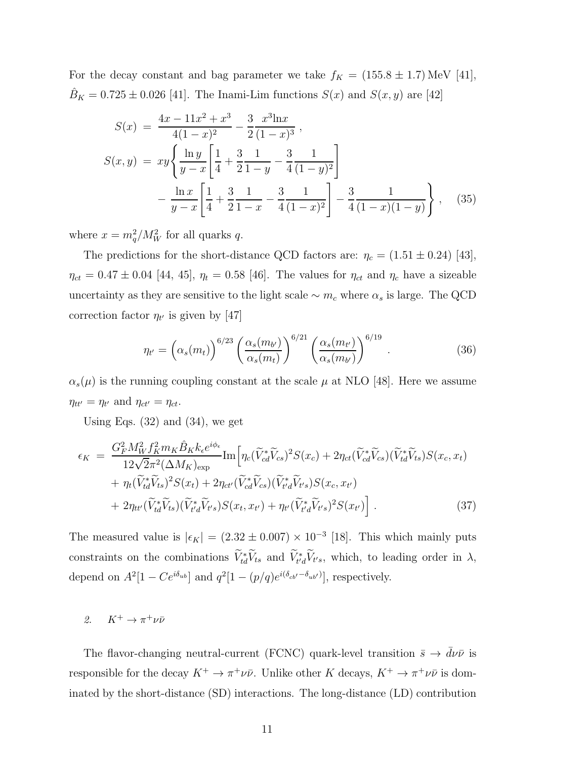For the decay constant and bag parameter we take  $f_K = (155.8 \pm 1.7)$  MeV [41],  $B_K = 0.725 \pm 0.026$  [41]. The Inami-Lim functions  $S(x)$  and  $S(x, y)$  are [42]

$$
S(x) = \frac{4x - 11x^2 + x^3}{4(1 - x)^2} - \frac{3}{2} \frac{x^3 \ln x}{(1 - x)^3},
$$
  
\n
$$
S(x, y) = xy \left\{ \frac{\ln y}{y - x} \left[ \frac{1}{4} + \frac{3}{2} \frac{1}{1 - y} - \frac{3}{4} \frac{1}{(1 - y)^2} \right] - \frac{\ln x}{y - x} \left[ \frac{1}{4} + \frac{3}{2} \frac{1}{1 - x} - \frac{3}{4} \frac{1}{(1 - x)^2} \right] - \frac{3}{4} \frac{1}{(1 - x)(1 - y)} \right\}, \quad (35)
$$

where  $x = m_q^2/M_W^2$  for all quarks q.

The predictions for the short-distance QCD factors are:  $\eta_c = (1.51 \pm 0.24)$  [43],  $\eta_{ct} = 0.47 \pm 0.04$  [44, 45],  $\eta_t = 0.58$  [46]. The values for  $\eta_{ct}$  and  $\eta_c$  have a sizeable uncertainty as they are sensitive to the light scale  $\sim m_c$  where  $\alpha_s$  is large. The QCD correction factor  $\eta_{t'}$  is given by [47]

$$
\eta_{t'} = \left(\alpha_s(m_t)\right)^{6/23} \left(\frac{\alpha_s(m_{b'})}{\alpha_s(m_t)}\right)^{6/21} \left(\frac{\alpha_s(m_{t'})}{\alpha_s(m_{b'})}\right)^{6/19}.
$$
\n(36)

 $\alpha_s(\mu)$  is the running coupling constant at the scale  $\mu$  at NLO [48]. Here we assume  $\eta_{tt'} = \eta_{t'}$  and  $\eta_{ct'} = \eta_{ct}$ .

Using Eqs.  $(32)$  and  $(34)$ , we get

$$
\epsilon_K = \frac{G_F^2 M_W^2 f_K^2 m_K \hat{B}_K k_\epsilon e^{i\phi_\epsilon}}{12\sqrt{2}\pi^2 (\Delta M_K)_{\text{exp}}} \text{Im} \Big[ \eta_c (\tilde{V}_{cd}^* \tilde{V}_{cs})^2 S(x_c) + 2\eta_{ct} (\tilde{V}_{cd}^* \tilde{V}_{cs}) (\tilde{V}_{td}^* \tilde{V}_{ts}) S(x_c, x_t) + \eta_t (\tilde{V}_{td}^* \tilde{V}_{ts})^2 S(x_t) + 2\eta_{ct'} (\tilde{V}_{cd}^* \tilde{V}_{cs}) (\tilde{V}_{t'd}^* \tilde{V}_{t's}) S(x_c, x_{t'}) + 2\eta_{tt'} (\tilde{V}_{td}^* \tilde{V}_{ts}) (\tilde{V}_{t'd}^* \tilde{V}_{t's}) S(x_t, x_{t'}) + \eta_{t'} (\tilde{V}_{t'd}^* \tilde{V}_{t's})^2 S(x_{t'}) \Big].
$$
\n(37)

The measured value is  $|\epsilon_K| = (2.32 \pm 0.007) \times 10^{-3}$  [18]. This which mainly puts constraints on the combinations  $\tilde{V}_{td}^* \tilde{V}_{ts}$  and  $\tilde{V}_{t'd}^* \tilde{V}_{t's}$ , which, to leading order in  $\lambda$ , depend on  $A^2[1 - Ce^{i\delta_{ub}}]$  and  $q^2[1 - (p/q)e^{i(\delta_{cb'} - \delta_{ub'})}]$ , respectively.

2.  $K^+ \to \pi^+ \nu \bar{\nu}$ 

The flavor-changing neutral-current (FCNC) quark-level transition  $\bar{s} \to \bar{d}\nu\bar{\nu}$  is responsible for the decay  $K^+ \to \pi^+ \nu \bar{\nu}$ . Unlike other K decays,  $K^+ \to \pi^+ \nu \bar{\nu}$  is dominated by the short-distance (SD) interactions. The long-distance (LD) contribution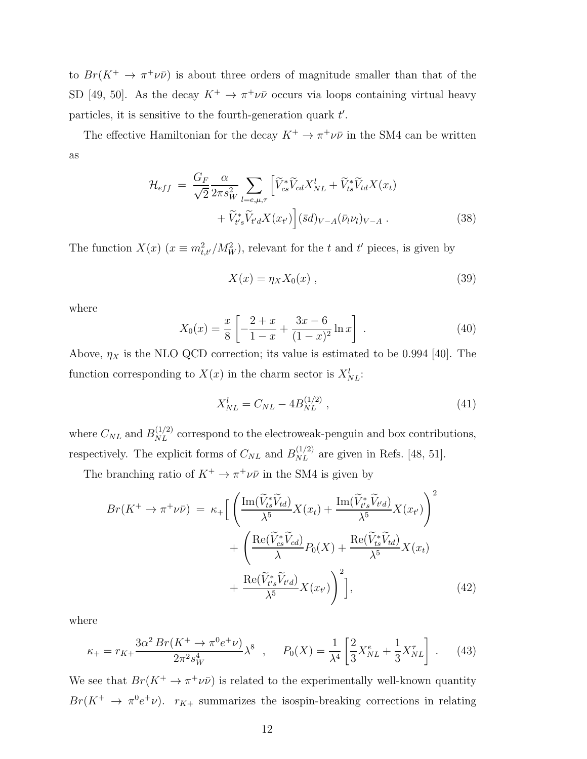to  $Br(K^+ \to \pi^+ \nu \bar{\nu})$  is about three orders of magnitude smaller than that of the SD [49, 50]. As the decay  $K^+ \to \pi^+ \nu \bar{\nu}$  occurs via loops containing virtual heavy particles, it is sensitive to the fourth-generation quark  $t'$ .

The effective Hamiltonian for the decay  $K^+ \to \pi^+ \nu \bar{\nu}$  in the SM4 can be written as

$$
\mathcal{H}_{eff} = \frac{G_F}{\sqrt{2}} \frac{\alpha}{2\pi s_W^2} \sum_{l=e,\mu,\tau} \left[ \widetilde{V}_{cs}^* \widetilde{V}_{cd} X_{NL}^l + \widetilde{V}_{ts}^* \widetilde{V}_{td} X(x_t) \right. \\ \left. + \widetilde{V}_{t's}^* \widetilde{V}_{t'd} X(x_{t'}) \right] (\bar{s}d)_{V-A} (\bar{\nu}_l \nu_l)_{V-A} \,. \tag{38}
$$

The function  $X(x)$   $(x \equiv m_{t,t'}^2/M_W^2)$ , relevant for the t and t' pieces, is given by

$$
X(x) = \eta_X X_0(x) , \qquad (39)
$$

where

$$
X_0(x) = \frac{x}{8} \left[ -\frac{2+x}{1-x} + \frac{3x-6}{(1-x)^2} \ln x \right] \,. \tag{40}
$$

Above,  $\eta_X$  is the NLO QCD correction; its value is estimated to be 0.994 [40]. The function corresponding to  $X(x)$  in the charm sector is  $X_{NL}^l$ :

$$
X_{NL}^l = C_{NL} - 4B_{NL}^{(1/2)} \,, \tag{41}
$$

where  $C_{NL}$  and  $B_{NL}^{(1/2)}$  correspond to the electroweak-penguin and box contributions, respectively. The explicit forms of  $C_{NL}$  and  $B_{NL}^{(1/2)}$  are given in Refs. [48, 51].

The branching ratio of  $K^+ \to \pi^+ \nu \bar{\nu}$  in the SM4 is given by

$$
Br(K^{+} \to \pi^{+} \nu \bar{\nu}) = \kappa_{+} \Big[ \left( \frac{\operatorname{Im}(\widetilde{V}_{ts}^{*} \widetilde{V}_{td})}{\lambda^{5}} X(x_{t}) + \frac{\operatorname{Im}(\widetilde{V}_{t's}^{*} \widetilde{V}_{t'd})}{\lambda^{5}} X(x_{t'}) \right)^{2} + \left( \frac{\operatorname{Re}(\widetilde{V}_{cs}^{*} \widetilde{V}_{cd})}{\lambda} P_{0}(X) + \frac{\operatorname{Re}(\widetilde{V}_{ts}^{*} \widetilde{V}_{td})}{\lambda^{5}} X(x_{t}) + \frac{\operatorname{Re}(\widetilde{V}_{t's}^{*} \widetilde{V}_{t'd})}{\lambda^{5}} X(x_{t'}) \right)^{2} \Big], \tag{42}
$$

where

$$
\kappa_{+} = r_{K+} \frac{3\alpha^{2} Br(K^{+} \to \pi^{0} e^{+} \nu)}{2\pi^{2} s_{W}^{4}} \lambda^{8} , \quad P_{0}(X) = \frac{1}{\lambda^{4}} \left[ \frac{2}{3} X_{NL}^{e} + \frac{1}{3} X_{NL}^{\tau} \right] . \tag{43}
$$

We see that  $Br(K^+ \to \pi^+ \nu \bar{\nu})$  is related to the experimentally well-known quantity  $Br(K^+ \to \pi^0 e^+ \nu)$ .  $r_{K^+}$  summarizes the isospin-breaking corrections in relating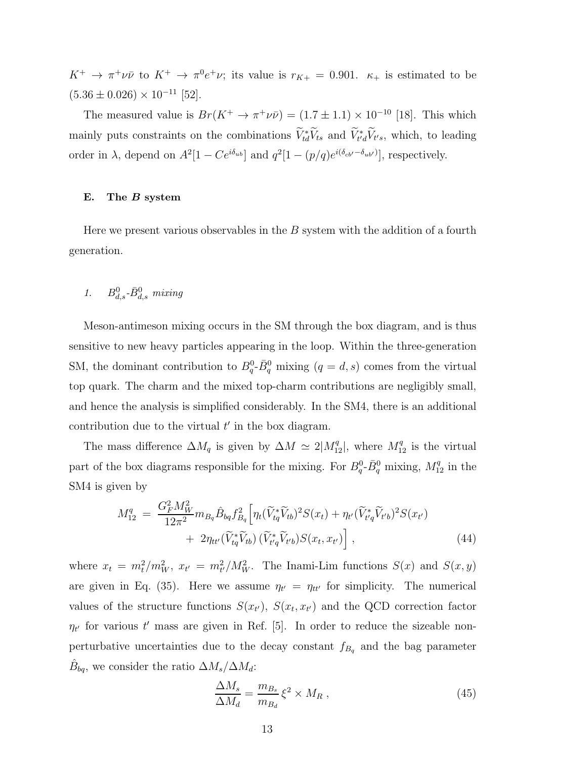$K^+ \to \pi^+ \nu \bar{\nu}$  to  $K^+ \to \pi^0 e^+ \nu$ ; its value is  $r_{K+} = 0.901$ .  $\kappa_+$  is estimated to be  $(5.36 \pm 0.026) \times 10^{-11}$  [52].

The measured value is  $Br(K^+ \to \pi^+ \nu \bar{\nu}) = (1.7 \pm 1.1) \times 10^{-10}$  [18]. This which mainly puts constraints on the combinations  $\tilde{V}_{td}^* \tilde{V}_{ts}$  and  $\tilde{V}_{t'd}^* \tilde{V}_{ts}$ , which, to leading order in  $\lambda$ , depend on  $A^2[1 - Ce^{i\delta_{ub}}]$  and  $q^2[1 - (p/q)e^{i(\delta_{cb'} - \delta_{ub'})}]$ , respectively.

### E. The B system

Here we present various observables in the  $B$  system with the addition of a fourth generation.

# 1.  $B_{d,s}^0$ - $\bar{B}_{d,s}^0$  mixing

Meson-antimeson mixing occurs in the SM through the box diagram, and is thus sensitive to new heavy particles appearing in the loop. Within the three-generation SM, the dominant contribution to  $B_q^0$ - $\bar{B}_q^0$  mixing  $(q = d, s)$  comes from the virtual top quark. The charm and the mixed top-charm contributions are negligibly small, and hence the analysis is simplified considerably. In the SM4, there is an additional contribution due to the virtual  $t'$  in the box diagram.

The mass difference  $\Delta M_q$  is given by  $\Delta M \simeq 2|M_{12}^q|$ , where  $M_{12}^q$  is the virtual part of the box diagrams responsible for the mixing. For  $B_q^0$ - $\bar{B}_q^0$  mixing,  $M_{12}^q$  in the SM4 is given by

$$
M_{12}^{q} = \frac{G_{F}^{2} M_{W}^{2}}{12\pi^{2}} m_{B_{q}} \hat{B}_{bq} f_{B_{q}}^{2} \Big[ \eta_{t} (\widetilde{V}_{tq}^{*} \widetilde{V}_{tb})^{2} S(x_{t}) + \eta_{t'} (\widetilde{V}_{t'q}^{*} \widetilde{V}_{t'b})^{2} S(x_{t'}) + 2\eta_{tt'} (\widetilde{V}_{tq}^{*} \widetilde{V}_{tb}) (\widetilde{V}_{t'q}^{*} \widetilde{V}_{t'b}) S(x_{t}, x_{t'}) \Big],
$$
\n(44)

where  $x_t = m_t^2/m_W^2$ ,  $x_{t'} = m_{t'}^2/M_W^2$ . The Inami-Lim functions  $S(x)$  and  $S(x, y)$ are given in Eq. (35). Here we assume  $\eta_{t'} = \eta_{tt'}$  for simplicity. The numerical values of the structure functions  $S(x_{t'})$ ,  $S(x_t, x_{t'})$  and the QCD correction factor  $\eta_{t'}$  for various t' mass are given in Ref. [5]. In order to reduce the sizeable nonperturbative uncertainties due to the decay constant  $f_{B_q}$  and the bag parameter  $\hat{B}_{bq}$ , we consider the ratio  $\Delta M_s/\Delta M_d$ :

$$
\frac{\Delta M_s}{\Delta M_d} = \frac{m_{B_s}}{m_{B_d}} \xi^2 \times M_R \,, \tag{45}
$$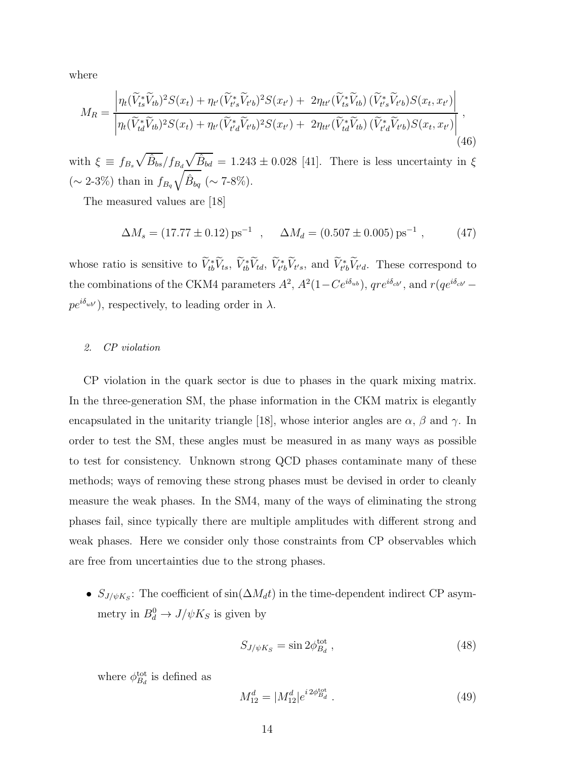where

$$
M_{R} = \frac{\left| \eta_{t}(\widetilde{V}_{ts}^{*}\widetilde{V}_{tb})^{2}S(x_{t}) + \eta_{t'}(\widetilde{V}_{t's}^{*}\widetilde{V}_{t'b})^{2}S(x_{t'}) + 2\eta_{tt'}(\widetilde{V}_{ts}^{*}\widetilde{V}_{tb})(\widetilde{V}_{t's}^{*}\widetilde{V}_{t'b})S(x_{t}, x_{t'}) \right|}{\left| \eta_{t}(\widetilde{V}_{td}^{*}\widetilde{V}_{tb})^{2}S(x_{t}) + \eta_{t'}(\widetilde{V}_{t'd}^{*}\widetilde{V}_{t'b})^{2}S(x_{t'}) + 2\eta_{tt'}(\widetilde{V}_{td}^{*}\widetilde{V}_{tb})(\widetilde{V}_{t'd}^{*}\widetilde{V}_{t'b})S(x_{t}, x_{t'}) \right|},\tag{46}
$$

with  $\xi \equiv f_{B_s} \sqrt{\hat{B}_{bs}}/f_{B_d} \sqrt{\hat{B}_{bd}} = 1.243 \pm 0.028$  [41]. There is less uncertainty in  $\xi$  $(\sim 2\n-3\%)$  than in  $f_{B_q}$  $\sqrt{\hat{B}_{bq}} \ (\sim 7\text{-}8\%)$ .

The measured values are [18]

$$
\Delta M_s = (17.77 \pm 0.12) \,\text{ps}^{-1} \quad , \quad \Delta M_d = (0.507 \pm 0.005) \,\text{ps}^{-1} \,, \tag{47}
$$

whose ratio is sensitive to  $\tilde{V}_{tb}^* \tilde{V}_{ts}$ ,  $\tilde{V}_{tb}^* \tilde{V}_{td}$ ,  $\tilde{V}_{t'b}^* \tilde{V}_{t's}$ , and  $\tilde{V}_{t'b}^* \tilde{V}_{t'd}$ . These correspond to the combinations of the CKM4 parameters  $A^2$ ,  $A^2(1-Ce^{i\delta_{ab}})$ ,  $qre^{i\delta_{cb'}}$ , and  $r(qe^{i\delta_{cb'}}$  $pe^{i\delta_{ub'}}$ , respectively, to leading order in  $\lambda$ .

### 2. CP violation

CP violation in the quark sector is due to phases in the quark mixing matrix. In the three-generation SM, the phase information in the CKM matrix is elegantly encapsulated in the unitarity triangle [18], whose interior angles are  $\alpha$ ,  $\beta$  and  $\gamma$ . In order to test the SM, these angles must be measured in as many ways as possible to test for consistency. Unknown strong QCD phases contaminate many of these methods; ways of removing these strong phases must be devised in order to cleanly measure the weak phases. In the SM4, many of the ways of eliminating the strong phases fail, since typically there are multiple amplitudes with different strong and weak phases. Here we consider only those constraints from CP observables which are free from uncertainties due to the strong phases.

•  $S_{J/\psi K_S}$ : The coefficient of sin $(\Delta M_d t)$  in the time-dependent indirect CP asymmetry in  $B_d^0 \to J/\psi K_S$  is given by

$$
S_{J/\psi K_S} = \sin 2\phi_{B_d}^{\text{tot}} \,, \tag{48}
$$

where  $\phi_{B_d}^{\text{tot}}$  is defined as

$$
M_{12}^d = |M_{12}^d| e^{i 2\phi_{B_d}^{\text{tot}}}.
$$
\n(49)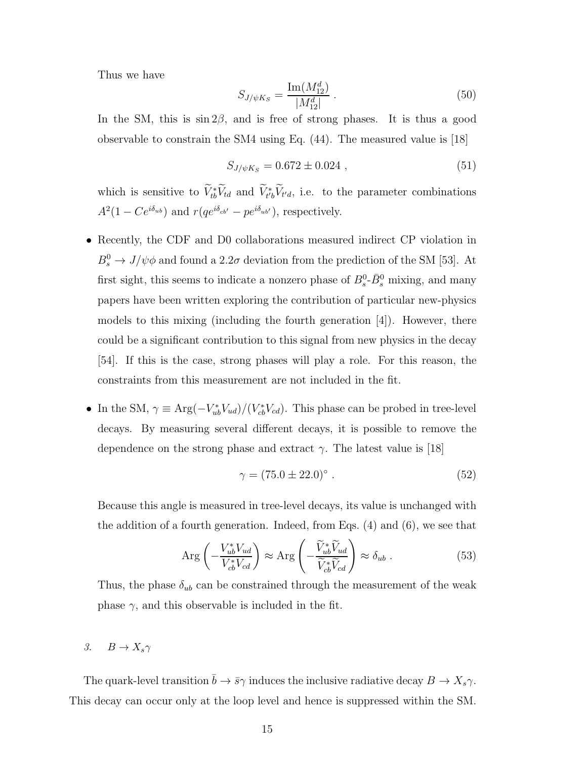Thus we have

$$
S_{J/\psi K_S} = \frac{\text{Im}(M_{12}^d)}{|M_{12}^d|} \,. \tag{50}
$$

In the SM, this is  $\sin 2\beta$ , and is free of strong phases. It is thus a good observable to constrain the SM4 using Eq. (44). The measured value is [18]

$$
S_{J/\psi K_S} = 0.672 \pm 0.024 , \qquad (51)
$$

which is sensitive to  $\tilde{V}_{tb}^* \tilde{V}_{td}$  and  $\tilde{V}_{t'b}^* \tilde{V}_{t'd}$ , i.e. to the parameter combinations  $A^2(1 - Ce^{i\delta_{ub}})$  and  $r(qe^{i\delta_{cb'}} - pe^{i\delta_{ub'}})$ , respectively.

- Recently, the CDF and D0 collaborations measured indirect CP violation in  $B_s^0 \to J/\psi \phi$  and found a 2.2 $\sigma$  deviation from the prediction of the SM [53]. At first sight, this seems to indicate a nonzero phase of  $B_s^0$ - $\bar{B}_s^0$  mixing, and many papers have been written exploring the contribution of particular new-physics models to this mixing (including the fourth generation  $[4]$ ). However, there could be a significant contribution to this signal from new physics in the decay [54]. If this is the case, strong phases will play a role. For this reason, the constraints from this measurement are not included in the fit.
- In the SM,  $\gamma \equiv \text{Arg}(-V_{ub}^* V_{ud})/(V_{cb}^* V_{cd})$ . This phase can be probed in tree-level decays. By measuring several different decays, it is possible to remove the dependence on the strong phase and extract  $\gamma$ . The latest value is [18]

$$
\gamma = (75.0 \pm 22.0)^{\circ} \ . \tag{52}
$$

Because this angle is measured in tree-level decays, its value is unchanged with the addition of a fourth generation. Indeed, from Eqs. (4) and (6), we see that

$$
\text{Arg}\left(-\frac{V_{ub}^* V_{ud}}{V_{cb}^* V_{cd}}\right) \approx \text{Arg}\left(-\frac{\tilde{V}_{ub}^* \tilde{V}_{ud}}{\tilde{V}_{cb}^* \tilde{V}_{cd}}\right) \approx \delta_{ub} . \tag{53}
$$

Thus, the phase  $\delta_{ub}$  can be constrained through the measurement of the weak phase  $\gamma$ , and this observable is included in the fit.

3.  $B \to X_s \gamma$ 

The quark-level transition  $\bar{b} \to \bar{s}\gamma$  induces the inclusive radiative decay  $B \to X_s \gamma$ . This decay can occur only at the loop level and hence is suppressed within the SM.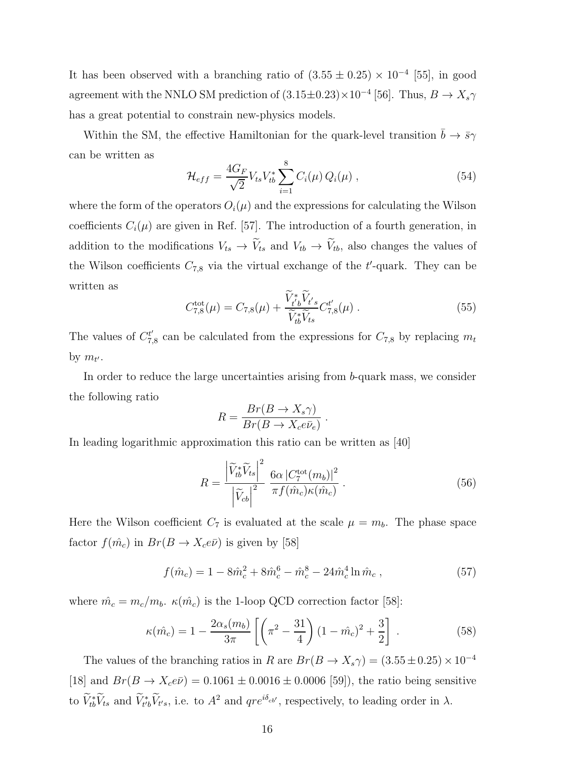It has been observed with a branching ratio of  $(3.55 \pm 0.25) \times 10^{-4}$  [55], in good agreement with the NNLO SM prediction of  $(3.15 \pm 0.23) \times 10^{-4}$  [56]. Thus,  $B \to X_s \gamma$ has a great potential to constrain new-physics models.

Within the SM, the effective Hamiltonian for the quark-level transition  $\bar{b} \to \bar{s}\gamma$ can be written as

$$
\mathcal{H}_{eff} = \frac{4G_F}{\sqrt{2}} V_{ts} V_{tb}^* \sum_{i=1}^8 C_i(\mu) Q_i(\mu) , \qquad (54)
$$

where the form of the operators  $O_i(\mu)$  and the expressions for calculating the Wilson coefficients  $C_i(\mu)$  are given in Ref. [57]. The introduction of a fourth generation, in addition to the modifications  $V_{ts} \rightarrow V_{ts}$  and  $V_{tb} \rightarrow V_{tb}$ , also changes the values of the Wilson coefficients  $C_{7,8}$  via the virtual exchange of the  $t'$ -quark. They can be written as

$$
C_{7,8}^{\text{tot}}(\mu) = C_{7,8}(\mu) + \frac{\widetilde{V}_{t'b}^* \widetilde{V}_{t's}}{\widetilde{V}_{tb}^* \widetilde{V}_{ts}} C_{7,8}^{t'}(\mu) . \tag{55}
$$

The values of  $C_7^{t'}$  $T_{7,8}$  can be calculated from the expressions for  $C_{7,8}$  by replacing  $m_t$ by  $m_{t'}$ .

In order to reduce the large uncertainties arising from b-quark mass, we consider the following ratio

$$
R = \frac{Br(B \to X_s \gamma)}{Br(B \to X_c e \bar{\nu}_e)}.
$$

In leading logarithmic approximation this ratio can be written as [40]

$$
R = \frac{\left|\widetilde{V}_{tb}^*\widetilde{V}_{ts}\right|^2}{\left|\widetilde{V}_{cb}\right|^2} \frac{6\alpha \left|C_7^{\text{tot}}(m_b)\right|^2}{\pi f(\hat{m}_c)\kappa(\hat{m}_c)}\,. \tag{56}
$$

Here the Wilson coefficient  $C_7$  is evaluated at the scale  $\mu = m_b$ . The phase space factor  $f(\hat{m}_c)$  in  $Br(B \to X_c e\bar{\nu})$  is given by [58]

$$
f(\hat{m}_c) = 1 - 8\hat{m}_c^2 + 8\hat{m}_c^6 - \hat{m}_c^8 - 24\hat{m}_c^4 \ln \hat{m}_c , \qquad (57)
$$

where  $\hat{m}_c = m_c/m_b$ .  $\kappa(\hat{m}_c)$  is the 1-loop QCD correction factor [58]:

$$
\kappa(\hat{m}_c) = 1 - \frac{2\alpha_s(m_b)}{3\pi} \left[ \left( \pi^2 - \frac{31}{4} \right) (1 - \hat{m}_c)^2 + \frac{3}{2} \right] \,. \tag{58}
$$

The values of the branching ratios in R are  $Br(B \to X_s \gamma) = (3.55 \pm 0.25) \times 10^{-4}$ [18] and  $Br(B \to X_c e\bar{\nu}) = 0.1061 \pm 0.0016 \pm 0.0006$  [59]), the ratio being sensitive to  $V_{tb}^*V_{ts}$  and  $V_{t'b}^*V_{t's}$ , i.e. to  $A^2$  and  $\eta re^{i\delta_{cb'}}$ , respectively, to leading order in  $\lambda$ .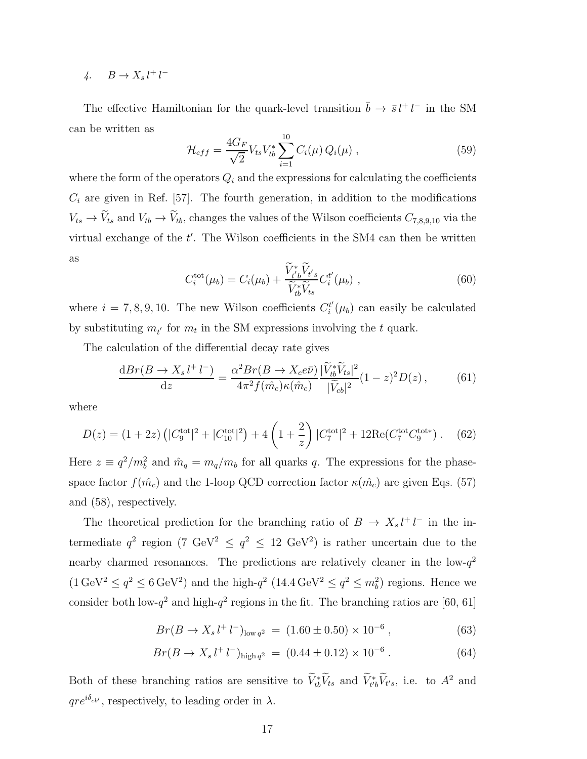4.  $B \to X_s l^+ l^-$ 

The effective Hamiltonian for the quark-level transition  $\bar{b} \to \bar{s} l^+ l^-$  in the SM can be written as

$$
\mathcal{H}_{eff} = \frac{4G_F}{\sqrt{2}} V_{ts} V_{tb}^* \sum_{i=1}^{10} C_i(\mu) Q_i(\mu) , \qquad (59)
$$

where the form of the operators  $Q_i$  and the expressions for calculating the coefficients  $C_i$  are given in Ref. [57]. The fourth generation, in addition to the modifications  $V_{ts} \to V_{ts}$  and  $V_{tb} \to V_{tb}$ , changes the values of the Wilson coefficients  $C_{7,8,9,10}$  via the virtual exchange of the  $t'$ . The Wilson coefficients in the SM4 can then be written as

$$
C_i^{\text{tot}}(\mu_b) = C_i(\mu_b) + \frac{\widetilde{V}_{t'b}^* \widetilde{V}_{t's}}{\widetilde{V}_{tb}^* \widetilde{V}_{ts}} C_i^{t'}(\mu_b) , \qquad (60)
$$

where  $i = 7, 8, 9, 10$ . The new Wilson coefficients  $C_i^t$  $i_l^{t'}(\mu_b)$  can easily be calculated by substituting  $m_{t'}$  for  $m_t$  in the SM expressions involving the t quark.

The calculation of the differential decay rate gives

$$
\frac{\mathrm{d}Br(B \to X_s l^+ l^-)}{\mathrm{d}z} = \frac{\alpha^2 Br(B \to X_c e\bar{\nu})}{4\pi^2 f(\hat{m}_c) \kappa(\hat{m}_c)} \frac{|\widetilde{V}_{tb}^* \widetilde{V}_{ts}|^2}{|\widetilde{V}_{cb}|^2} (1-z)^2 D(z) \,, \tag{61}
$$

where

$$
D(z) = (1+2z) \left( |C_9^{\text{tot}}|^2 + |C_{10}^{\text{tot}}|^2 \right) + 4 \left( 1 + \frac{2}{z} \right) |C_7^{\text{tot}}|^2 + 12 \text{Re}(C_7^{\text{tot}} C_9^{\text{tot}}) . \tag{62}
$$

Here  $z \equiv q^2/m_b^2$  and  $\hat{m}_q = m_q/m_b$  for all quarks q. The expressions for the phasespace factor  $f(\hat{m}_c)$  and the 1-loop QCD correction factor  $\kappa(\hat{m}_c)$  are given Eqs. (57) and (58), respectively.

The theoretical prediction for the branching ratio of  $B \to X_s l^+ l^-$  in the intermediate  $q^2$  region (7 GeV<sup>2</sup>  $\leq$   $q^2$   $\leq$  12 GeV<sup>2</sup>) is rather uncertain due to the nearby charmed resonances. The predictions are relatively cleaner in the low- $q^2$  $(1 \text{ GeV}^2 \le q^2 \le 6 \text{ GeV}^2)$  and the high- $q^2$   $(14.4 \text{ GeV}^2 \le q^2 \le m_b^2)$  regions. Hence we consider both low- $q^2$  and high- $q^2$  regions in the fit. The branching ratios are [60, 61]

$$
Br(B \to X_s l^+ l^-)_{\text{low } q^2} = (1.60 \pm 0.50) \times 10^{-6} , \qquad (63)
$$

$$
Br(B \to X_s l^+ l^-)_{\text{high } q^2} = (0.44 \pm 0.12) \times 10^{-6} . \tag{64}
$$

Both of these branching ratios are sensitive to  $\tilde{V}_{tb}^* \tilde{V}_{ts}$  and  $\tilde{V}_{t'b}^* \tilde{V}_{t's}$ , i.e. to  $A^2$  and  $qre^{i\delta_{cb'}}$ , respectively, to leading order in  $\lambda$ .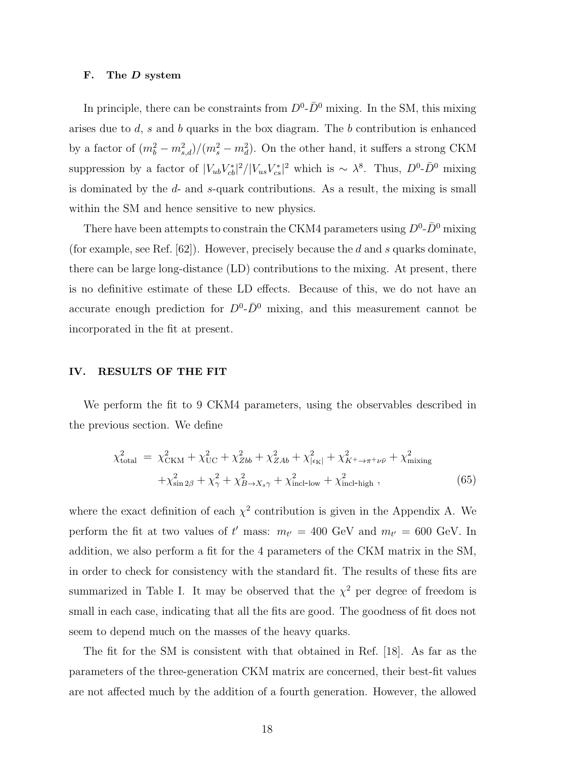### F. The D system

In principle, there can be constraints from  $D^0$ - $\bar{D}^0$  mixing. In the SM, this mixing arises due to  $d$ , s and b quarks in the box diagram. The b contribution is enhanced by a factor of  $(m_b^2 - m_{s,d}^2)/(m_s^2 - m_d^2)$ . On the other hand, it suffers a strong CKM suppression by a factor of  $|V_{ub}V_{cb}^*|^2/|V_{us}V_{cs}^*|^2$  which is ~  $\lambda^8$ . Thus,  $D^0$ - $\bar{D}^0$  mixing is dominated by the d- and s-quark contributions. As a result, the mixing is small within the SM and hence sensitive to new physics.

There have been attempts to constrain the CKM4 parameters using  $D^0$ - $\bar{D}^0$  mixing (for example, see Ref.  $[62]$ ). However, precisely because the d and s quarks dominate, there can be large long-distance (LD) contributions to the mixing. At present, there is no definitive estimate of these LD effects. Because of this, we do not have an accurate enough prediction for  $D^0$ - $\bar{D}^0$  mixing, and this measurement cannot be incorporated in the fit at present.

### IV. RESULTS OF THE FIT

We perform the fit to 9 CKM4 parameters, using the observables described in the previous section. We define

$$
\chi_{\text{total}}^2 = \chi_{\text{CKM}}^2 + \chi_{\text{UC}}^2 + \chi_{Zbb}^2 + \chi_{ZAb}^2 + \chi_{|\epsilon_K|}^2 + \chi_{K^+ \to \pi^+ \nu \bar{\nu}}^2 + \chi_{\text{mixing}}^2 + \chi_{\text{sin } 2\beta}^2 + \chi_{\gamma}^2 + \chi_{B \to X_s \gamma}^2 + \chi_{\text{incl-low}}^2 + \chi_{\text{incl-high}}^2 \,, \tag{65}
$$

where the exact definition of each  $\chi^2$  contribution is given in the Appendix A. We perform the fit at two values of t' mass:  $m_{t'} = 400 \text{ GeV}$  and  $m_{t'} = 600 \text{ GeV}$ . In addition, we also perform a fit for the 4 parameters of the CKM matrix in the SM, in order to check for consistency with the standard fit. The results of these fits are summarized in Table I. It may be observed that the  $\chi^2$  per degree of freedom is small in each case, indicating that all the fits are good. The goodness of fit does not seem to depend much on the masses of the heavy quarks.

The fit for the SM is consistent with that obtained in Ref. [18]. As far as the parameters of the three-generation CKM matrix are concerned, their best-fit values are not affected much by the addition of a fourth generation. However, the allowed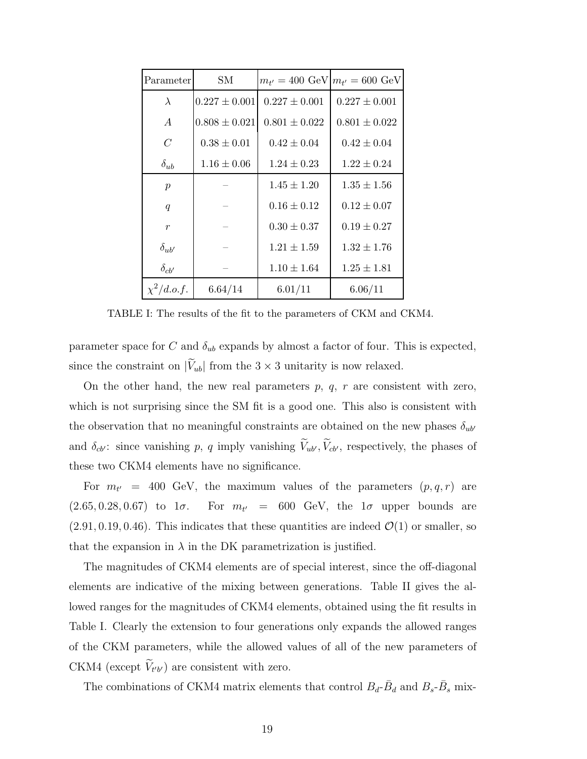| Parameter        | SМ                |                   | $m_{t'} = 400 \text{ GeV}   m_{t'} = 600 \text{ GeV}$ |
|------------------|-------------------|-------------------|-------------------------------------------------------|
| $\lambda$        | $0.227 \pm 0.001$ | $0.227 \pm 0.001$ | $0.227 \pm 0.001$                                     |
| $\overline{A}$   | $0.808 \pm 0.021$ | $0.801 \pm 0.022$ | $0.801 \pm 0.022$                                     |
| $\mathcal C$     | $0.38 \pm 0.01$   | $0.42 \pm 0.04$   | $0.42 \pm 0.04$                                       |
| $\delta_{ub}$    | $1.16 \pm 0.06$   | $1.24 \pm 0.23$   | $1.22 \pm 0.24$                                       |
| $\boldsymbol{p}$ |                   | $1.45 \pm 1.20$   | $1.35 \pm 1.56$                                       |
| $\boldsymbol{q}$ |                   | $0.16 \pm 0.12$   | $0.12 \pm 0.07$                                       |
| $\boldsymbol{r}$ |                   | $0.30 \pm 0.37$   | $0.19 \pm 0.27$                                       |
| $\delta_{ub'}$   |                   | $1.21 \pm 1.59$   | $1.32 \pm 1.76$                                       |
| $\delta_{cb'}$   |                   | $1.10 \pm 1.64$   | $1.25 \pm 1.81$                                       |
| $\chi^2/d.o.f.$  | 6.64/14           | 6.01/11           | 6.06/11                                               |

TABLE I: The results of the fit to the parameters of CKM and CKM4.

parameter space for C and  $\delta_{ub}$  expands by almost a factor of four. This is expected, since the constraint on  $|\widetilde{V}_{ub}|$  from the  $3 \times 3$  unitarity is now relaxed.

On the other hand, the new real parameters  $p, q, r$  are consistent with zero, which is not surprising since the SM fit is a good one. This also is consistent with the observation that no meaningful constraints are obtained on the new phases  $\delta_{ub'}$ and  $\delta_{cb'}$ : since vanishing p, q imply vanishing  $\widetilde{V}_{ub'}$ ,  $\widetilde{V}_{cb'}$ , respectively, the phases of these two CKM4 elements have no significance.

For  $m_{t'}$  = 400 GeV, the maximum values of the parameters  $(p, q, r)$  are  $(2.65, 0.28, 0.67)$  to  $1\sigma$ . For  $m_{t'}$  = 600 GeV, the  $1\sigma$  upper bounds are  $(2.91, 0.19, 0.46)$ . This indicates that these quantities are indeed  $\mathcal{O}(1)$  or smaller, so that the expansion in  $\lambda$  in the DK parametrization is justified.

The magnitudes of CKM4 elements are of special interest, since the off-diagonal elements are indicative of the mixing between generations. Table II gives the allowed ranges for the magnitudes of CKM4 elements, obtained using the fit results in Table I. Clearly the extension to four generations only expands the allowed ranges of the CKM parameters, while the allowed values of all of the new parameters of CKM4 (except  $V_{t'b'}$ ) are consistent with zero.

The combinations of CKM4 matrix elements that control  $B_d$ - $\bar{B}_d$  and  $B_s$ - $\bar{B}_s$  mix-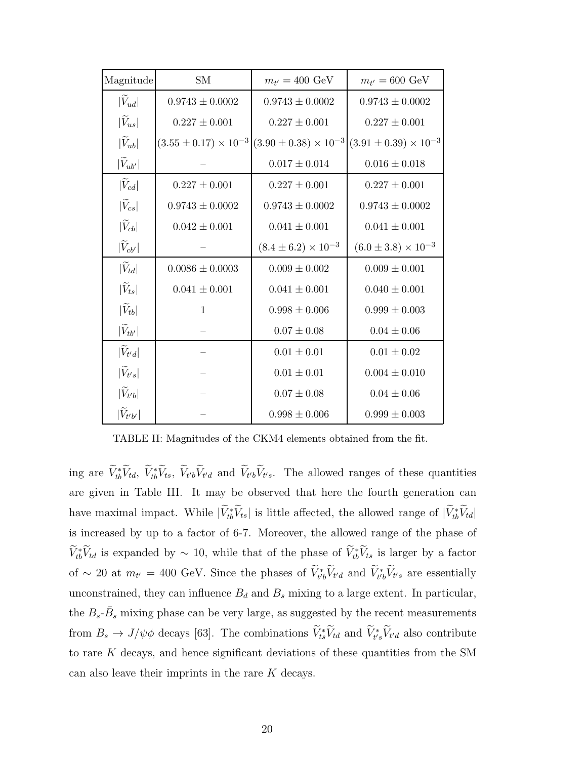| $\label{eq:main} \textbf{Magnitude}$ | <b>SM</b>                        | $m_{t'} = 400 \text{ GeV}$       | $m_{t'} = 600 \text{ GeV}$       |
|--------------------------------------|----------------------------------|----------------------------------|----------------------------------|
| $ V_{ud} $                           | $0.9743 \pm 0.0002$              | $0.9743 \pm 0.0002$              | $0.9743 \pm 0.0002$              |
| $ \tilde{V}_{us} $                   | $0.227 \pm 0.001$                | $0.227 \pm 0.001$                | $0.227 \pm 0.001$                |
| $ \tilde{V}_{ub} $                   | $(3.55 \pm 0.17) \times 10^{-3}$ | $(3.90 \pm 0.38) \times 10^{-3}$ | $(3.91 \pm 0.39) \times 10^{-3}$ |
| $ V_{ub'} $                          |                                  | $0.017 \pm 0.014$                | $0.016 \pm 0.018$                |
| $ \tilde{V}_{cd} $                   | $0.227 \pm 0.001$                | $0.227 \pm 0.001$                | $0.227 \pm 0.001$                |
| $ \tilde{V}_{cs} $                   | $0.9743 \pm 0.0002$              | $0.9743 \pm 0.0002$              | $0.9743 \pm 0.0002$              |
| $ V_{cb} $                           | $0.042 \pm 0.001$                | $0.041 \pm 0.001$                | $0.041 \pm 0.001$                |
| $ V_{cb'} $                          |                                  | $(8.4 \pm 6.2) \times 10^{-3}$   | $(6.0 \pm 3.8) \times 10^{-3}$   |
| $ V_{td} $                           | $0.0086 \pm 0.0003$              | $0.009 \pm 0.002$                | $0.009 \pm 0.001$                |
| $ \tilde{V}_{ts} $                   | $0.041 \pm 0.001$                | $0.041 \pm 0.001$                | $0.040 \pm 0.001$                |
| $ \tilde{V}_{tb} $                   | $\mathbf{1}$                     | $0.998 \pm 0.006$                | $0.999 \pm 0.003$                |
| $ V_{tb'} $                          |                                  | $0.07 \pm 0.08$                  | $0.04 \pm 0.06$                  |
| $ \tilde{V}_{t'd} $                  |                                  | $0.01 \pm 0.01$                  | $0.01 \pm 0.02$                  |
| $ \tilde{V}_{t's} $                  |                                  | $0.01 \pm 0.01$                  | $0.004 \pm 0.010$                |
| $ V_{t'b} $                          |                                  | $0.07 \pm 0.08$                  | $0.04 \pm 0.06$                  |
| $ \widetilde{V}_{t'b'} $             |                                  | $0.998 \pm 0.006$                | $0.999 \pm 0.003$                |

TABLE II: Magnitudes of the CKM4 elements obtained from the fit.

ing are  $\hat{V}_{tb}^* \hat{V}_{td}$ ,  $\hat{V}_{tb} \hat{V}_{ts}$ ,  $\hat{V}_{t'b} \hat{V}_{t'd}$  and  $\hat{V}_{t'b} \hat{V}_{t's}$ . The allowed ranges of these quantities are given in Table III. It may be observed that here the fourth generation can have maximal impact. While  $|V_{tb}^*V_{ts}|$  is little affected, the allowed range of  $|V_{tb}^*V_{td}|$ is increased by up to a factor of 6-7. Moreover, the allowed range of the phase of  $V_{tb}^*V_{td}$  is expanded by  $\sim 10$ , while that of the phase of  $V_{tb}^*V_{ts}$  is larger by a factor of ~ 20 at  $m_{t'} = 400$  GeV. Since the phases of  $\tilde{V}_{t'b}^* \tilde{V}_{t'd}$  and  $\tilde{V}_{t'b}^* \tilde{V}_{t's}$  are essentially unconstrained, they can influence  $B_d$  and  $B_s$  mixing to a large extent. In particular, the  $B_s$ - $\bar{B}_s$  mixing phase can be very large, as suggested by the recent measurements from  $B_s \to J/\psi \phi$  decays [63]. The combinations  $\tilde{V}_{ts}^* \tilde{V}_{td}$  and  $\tilde{V}_{t's}^* \tilde{V}_{t'd}$  also contribute to rare  $K$  decays, and hence significant deviations of these quantities from the SM can also leave their imprints in the rare  $K$  decays.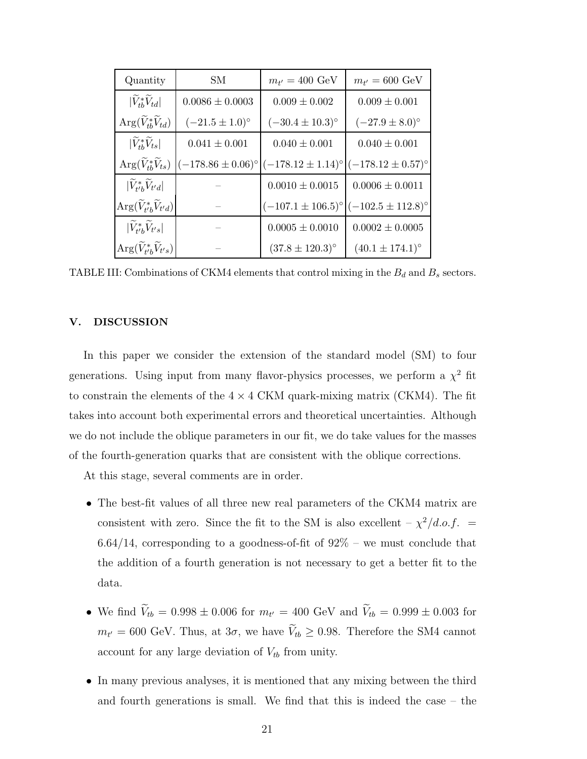| Quantity                                               | SМ                           | $m_{t'} = 400 \text{ GeV}$                      | $m_{t'} = 600 \text{ GeV}$                    |
|--------------------------------------------------------|------------------------------|-------------------------------------------------|-----------------------------------------------|
| $ V_{tb}^*V_{td} $                                     | $0.0086 \pm 0.0003$          | $0.009 \pm 0.002$                               | $0.009 \pm 0.001$                             |
| $\text{Arg}(\widetilde{V}_{tb}^*\widetilde{V}_{td})$   | $(-21.5 \pm 1.0)^{\circ}$    | $(-30.4 \pm 10.3)^{\circ}$                      | $(-27.9 \pm 8.0)$ °                           |
| $ V_{th}^*V_{ts} $                                     | $0.041 \pm 0.001$            | $0.040 \pm 0.001$                               | $0.040 \pm 0.001$                             |
| $Arg(\widetilde{V}_{th}^*\widetilde{V}_{ts})$          | $(-178.86 \pm 0.06)^{\circ}$ | $ (-178.12 \pm 1.14)$ ° $ (-178.12 \pm 0.57)$ ° |                                               |
| $ V_{t'b}^*V_{t'd} $                                   |                              | $0.0010 \pm 0.0015$                             | $0.0006 \pm 0.0011$                           |
| $\text{Arg}(\widetilde{V}_{t'b}^*\widetilde{V}_{t'd})$ |                              |                                                 | $(-107.1 \pm 106.5)$ ° $(-102.5 \pm 112.8)$ ° |
| $ V_{t'b}^*V_{t's} $                                   |                              | $0.0005 \pm 0.0010$                             | $0.0002 \pm 0.0005$                           |
| $\text{Arg}(V_{t'b}^*V_{t's})$                         |                              | $(37.8 \pm 120.3)^{\circ}$                      | $(40.1 \pm 174.1)$ °                          |

TABLE III: Combinations of CKM4 elements that control mixing in the  $B_d$  and  $B_s$  sectors.

### V. DISCUSSION

In this paper we consider the extension of the standard model (SM) to four generations. Using input from many flavor-physics processes, we perform a  $\chi^2$  fit to constrain the elements of the  $4 \times 4$  CKM quark-mixing matrix (CKM4). The fit takes into account both experimental errors and theoretical uncertainties. Although we do not include the oblique parameters in our fit, we do take values for the masses of the fourth-generation quarks that are consistent with the oblique corrections.

At this stage, several comments are in order.

- The best-fit values of all three new real parameters of the CKM4 matrix are consistent with zero. Since the fit to the SM is also excellent  $-\chi^2/d.o.f.$  =  $6.64/14$ , corresponding to a goodness-of-fit of  $92\%$  – we must conclude that the addition of a fourth generation is not necessary to get a better fit to the data.
- We find  $V_{tb} = 0.998 \pm 0.006$  for  $m_{t'} = 400$  GeV and  $V_{tb} = 0.999 \pm 0.003$  for  $m_{t'} = 600 \text{ GeV}$ . Thus, at  $3\sigma$ , we have  $V_{tb} \geq 0.98$ . Therefore the SM4 cannot account for any large deviation of  $V_{tb}$  from unity.
- In many previous analyses, it is mentioned that any mixing between the third and fourth generations is small. We find that this is indeed the case – the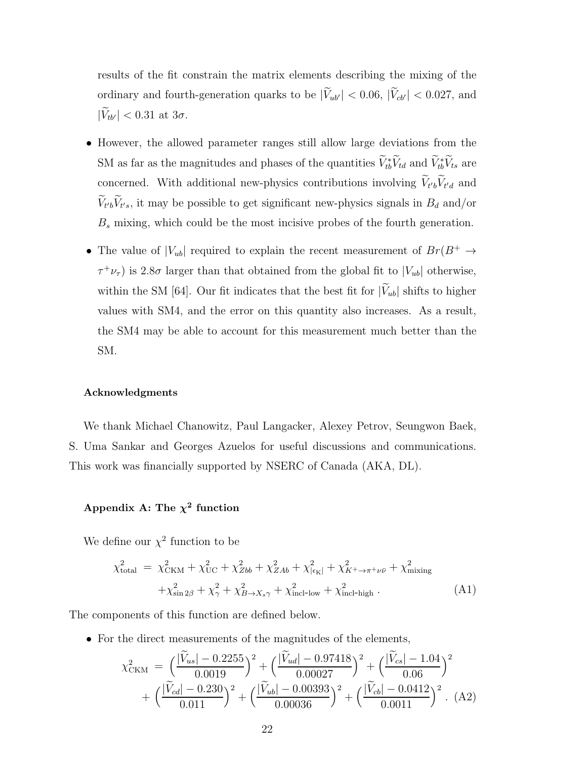results of the fit constrain the matrix elements describing the mixing of the ordinary and fourth-generation quarks to be  $|\widetilde{V}_{ub'}| < 0.06$ ,  $|\widetilde{V}_{cb'}| < 0.027$ , and  $|\widetilde{V}_{tb'}| < 0.31$  at  $3\sigma$ .

- However, the allowed parameter ranges still allow large deviations from the SM as far as the magnitudes and phases of the quantities  $\tilde{V}_{tb}^* \tilde{V}_{td}$  and  $\tilde{V}_{tb}^* \tilde{V}_{ts}$  are concerned. With additional new-physics contributions involving  $V_{t'b}V_{t'd}$  and  $V_{t'b}V_{t's}$ , it may be possible to get significant new-physics signals in  $B_d$  and/or  $B_s$  mixing, which could be the most incisive probes of the fourth generation.
- The value of  $|V_{ub}|$  required to explain the recent measurement of  $Br(B^+ \rightarrow$  $\tau^+ \nu_{\tau}$ ) is 2.8 $\sigma$  larger than that obtained from the global fit to  $|V_{ub}|$  otherwise, within the SM [64]. Our fit indicates that the best fit for  $|\widetilde{V}_{ub}|$  shifts to higher values with SM4, and the error on this quantity also increases. As a result, the SM4 may be able to account for this measurement much better than the SM.

### Acknowledgments

We thank Michael Chanowitz, Paul Langacker, Alexey Petrov, Seungwon Baek, S. Uma Sankar and Georges Azuelos for useful discussions and communications. This work was financially supported by NSERC of Canada (AKA, DL).

## Appendix A: The  $\chi^2$  function

We define our  $\chi^2$  function to be

$$
\chi_{\text{total}}^{2} = \chi_{\text{CKM}}^{2} + \chi_{\text{UC}}^{2} + \chi_{Zbb}^{2} + \chi_{ZAb}^{2} + \chi_{|\epsilon_{\text{K}}|}^{2} + \chi_{K^{+}\to\pi^{+}\nu\bar{\nu}}^{2} + \chi_{\text{mixing}}^{2} + \chi_{\text{sin 2}\beta}^{2} + \chi_{\gamma}^{2} + \chi_{B\to X_{s\gamma}}^{2} + \chi_{\text{incl-low}}^{2} + \chi_{\text{incl-high}}^{2}.
$$
\n(A1)

The components of this function are defined below.

• For the direct measurements of the magnitudes of the elements,

$$
\chi^2_{\text{CKM}} = \left(\frac{|\widetilde{V}_{us}| - 0.2255}{0.0019}\right)^2 + \left(\frac{|\widetilde{V}_{ud}| - 0.97418}{0.00027}\right)^2 + \left(\frac{|\widetilde{V}_{cs}| - 1.04}{0.06}\right)^2 + \left(\frac{|\widetilde{V}_{cd}| - 0.230}{0.011}\right)^2 + \left(\frac{|\widetilde{V}_{ub}| - 0.00393}{0.00036}\right)^2 + \left(\frac{|\widetilde{V}_{cb}| - 0.0412}{0.0011}\right)^2
$$
 (A2)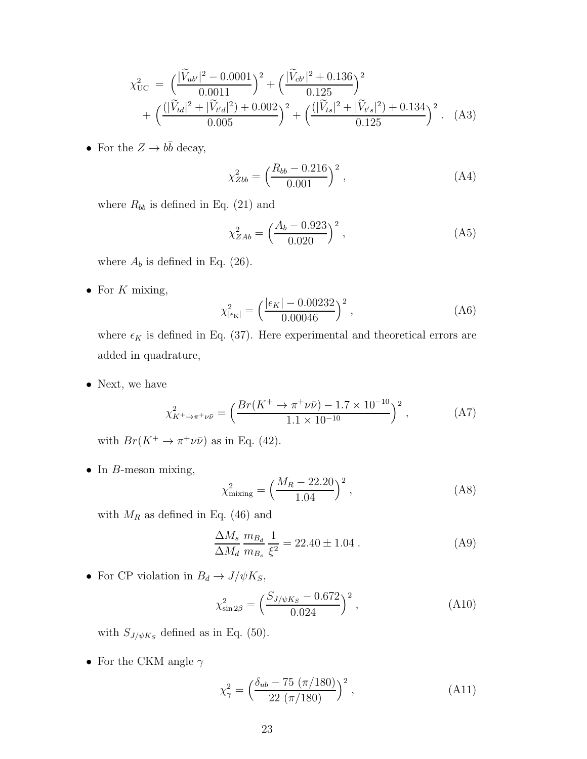$$
\chi_{\text{UC}}^2 = \left(\frac{|\widetilde{V}_{ub'}|^2 - 0.0001}{0.0011}\right)^2 + \left(\frac{|\widetilde{V}_{cb'}|^2 + 0.136}{0.125}\right)^2 + \left(\frac{(|\widetilde{V}_{td}|^2 + |\widetilde{V}_{td}|^2) + 0.002}{0.005}\right)^2 + \left(\frac{(|\widetilde{V}_{ts}|^2 + |\widetilde{V}_{ts}|^2) + 0.134}{0.125}\right)^2. \tag{A3}
$$

• For the  $Z \to b\bar{b}$  decay,

$$
\chi_{Zbb}^2 = \left(\frac{R_{bb} - 0.216}{0.001}\right)^2,\tag{A4}
$$

where  $R_{bb}$  is defined in Eq. (21) and

$$
\chi_{ZAb}^2 = \left(\frac{A_b - 0.923}{0.020}\right)^2,\tag{A5}
$$

where  $A_b$  is defined in Eq. (26).

• For  $K$  mixing,

$$
\chi_{|\epsilon_K|}^2 = \left(\frac{|\epsilon_K| - 0.00232}{0.00046}\right)^2, \tag{A6}
$$

where  $\epsilon_K$  is defined in Eq. (37). Here experimental and theoretical errors are added in quadrature,

• Next, we have

$$
\chi_{K^{+}\to\pi^{+}\nu\bar{\nu}}^{2} = \left(\frac{Br(K^{+}\to\pi^{+}\nu\bar{\nu}) - 1.7 \times 10^{-10}}{1.1 \times 10^{-10}}\right)^{2},\tag{A7}
$$

with  $Br(K^+ \to \pi^+ \nu \bar{\nu})$  as in Eq. (42).

• In  $B$ -meson mixing,

$$
\chi_{\text{mixing}}^2 = \left(\frac{M_R - 22.20}{1.04}\right)^2,\tag{A8}
$$

with  $M_R$  as defined in Eq. (46) and

$$
\frac{\Delta M_s}{\Delta M_d} \frac{m_{B_d}}{m_{B_s}} \frac{1}{\xi^2} = 22.40 \pm 1.04 \ . \tag{A9}
$$

• For CP violation in  $B_d\to J/\psi K_S,$ 

$$
\chi_{\sin 2\beta}^2 = \left(\frac{S_{J/\psi K_S} - 0.672}{0.024}\right)^2, \tag{A10}
$$

with  $S_{J/\psi K_S}$  defined as in Eq. (50).

• For the CKM angle  $\gamma$ 

$$
\chi_{\gamma}^{2} = \left(\frac{\delta_{ub} - 75 \ (\pi/180)}{22 \ (\pi/180)}\right)^{2},\tag{A11}
$$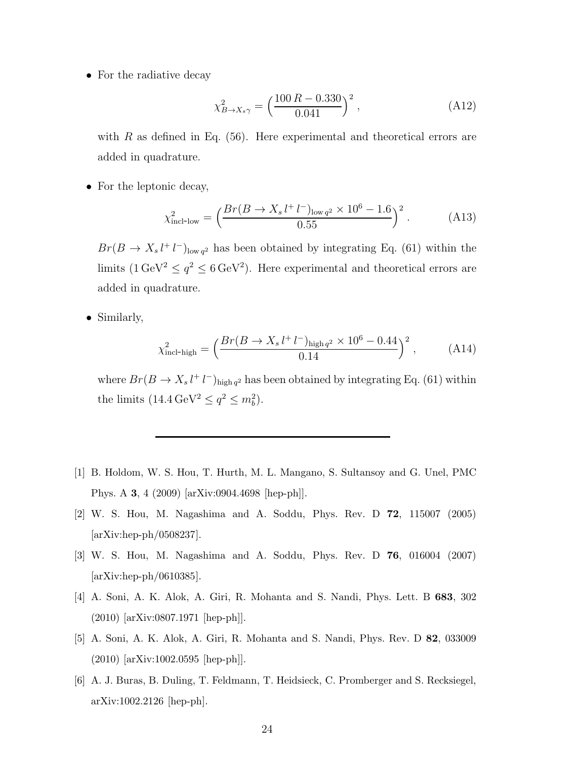• For the radiative decay

$$
\chi^2_{B \to X_s \gamma} = \left(\frac{100 \, R - 0.330}{0.041}\right)^2,\tag{A12}
$$

with  $R$  as defined in Eq. (56). Here experimental and theoretical errors are added in quadrature.

• For the leptonic decay,

$$
\chi_{\text{incl-low}}^2 = \left(\frac{Br(B \to X_s l^+ l^-)_{\text{low } q^2} \times 10^6 - 1.6}{0.55}\right)^2. \tag{A13}
$$

 $Br(B \to X_s l^+ l^-)_{\text{low } q^2}$  has been obtained by integrating Eq. (61) within the limits  $(1 \text{ GeV}^2 \le q^2 \le 6 \text{ GeV}^2)$ . Here experimental and theoretical errors are added in quadrature.

• Similarly,

$$
\chi_{\text{incl-high}}^2 = \left(\frac{Br(B \to X_s l^+ l^-)_{\text{high } q^2} \times 10^6 - 0.44}{0.14}\right)^2, \quad (A14)
$$

where  $Br(B \to X_s l^+ l^-)_{\text{high } q^2}$  has been obtained by integrating Eq. (61) within the limits  $(14.4 \,\text{GeV}^2 \leq q^2 \leq m_b^2)$ .

- [1] B. Holdom, W. S. Hou, T. Hurth, M. L. Mangano, S. Sultansoy and G. Unel, PMC Phys. A 3, 4 (2009) [arXiv:0904.4698 [hep-ph]].
- [2] W. S. Hou, M. Nagashima and A. Soddu, Phys. Rev. D 72, 115007 (2005) [arXiv:hep-ph/0508237].
- [3] W. S. Hou, M. Nagashima and A. Soddu, Phys. Rev. D 76, 016004 (2007) [arXiv:hep-ph/0610385].
- [4] A. Soni, A. K. Alok, A. Giri, R. Mohanta and S. Nandi, Phys. Lett. B 683, 302 (2010) [arXiv:0807.1971 [hep-ph]].
- [5] A. Soni, A. K. Alok, A. Giri, R. Mohanta and S. Nandi, Phys. Rev. D 82, 033009 (2010) [arXiv:1002.0595 [hep-ph]].
- [6] A. J. Buras, B. Duling, T. Feldmann, T. Heidsieck, C. Promberger and S. Recksiegel, arXiv:1002.2126 [hep-ph].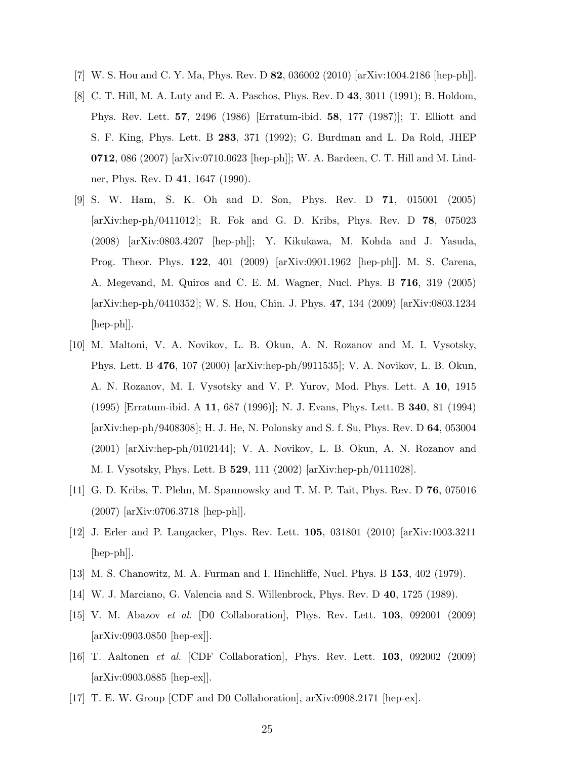- [7] W. S. Hou and C. Y. Ma, Phys. Rev. D 82, 036002 (2010) [arXiv:1004.2186 [hep-ph]].
- [8] C. T. Hill, M. A. Luty and E. A. Paschos, Phys. Rev. D 43, 3011 (1991); B. Holdom, Phys. Rev. Lett. 57, 2496 (1986) [Erratum-ibid. 58, 177 (1987)]; T. Elliott and S. F. King, Phys. Lett. B 283, 371 (1992); G. Burdman and L. Da Rold, JHEP 0712, 086 (2007) [arXiv:0710.0623 [hep-ph]]; W. A. Bardeen, C. T. Hill and M. Lindner, Phys. Rev. D 41, 1647 (1990).
- [9] S. W. Ham, S. K. Oh and D. Son, Phys. Rev. D 71, 015001 (2005) [arXiv:hep-ph/0411012]; R. Fok and G. D. Kribs, Phys. Rev. D 78, 075023 (2008) [arXiv:0803.4207 [hep-ph]]; Y. Kikukawa, M. Kohda and J. Yasuda, Prog. Theor. Phys. 122, 401 (2009) [arXiv:0901.1962 [hep-ph]]. M. S. Carena, A. Megevand, M. Quiros and C. E. M. Wagner, Nucl. Phys. B 716, 319 (2005) [arXiv:hep-ph/0410352]; W. S. Hou, Chin. J. Phys. 47, 134 (2009) [arXiv:0803.1234 [hep-ph]].
- [10] M. Maltoni, V. A. Novikov, L. B. Okun, A. N. Rozanov and M. I. Vysotsky, Phys. Lett. B 476, 107 (2000) [arXiv:hep-ph/9911535]; V. A. Novikov, L. B. Okun, A. N. Rozanov, M. I. Vysotsky and V. P. Yurov, Mod. Phys. Lett. A 10, 1915 (1995) [Erratum-ibid. A 11, 687 (1996)]; N. J. Evans, Phys. Lett. B 340, 81 (1994) [arXiv:hep-ph/9408308]; H. J. He, N. Polonsky and S. f. Su, Phys. Rev. D 64, 053004 (2001) [arXiv:hep-ph/0102144]; V. A. Novikov, L. B. Okun, A. N. Rozanov and M. I. Vysotsky, Phys. Lett. B 529, 111 (2002) [arXiv:hep-ph/0111028].
- [11] G. D. Kribs, T. Plehn, M. Spannowsky and T. M. P. Tait, Phys. Rev. D 76, 075016 (2007) [arXiv:0706.3718 [hep-ph]].
- [12] J. Erler and P. Langacker, Phys. Rev. Lett. 105, 031801 (2010) [arXiv:1003.3211 [hep-ph]].
- [13] M. S. Chanowitz, M. A. Furman and I. Hinchliffe, Nucl. Phys. B 153, 402 (1979).
- [14] W. J. Marciano, G. Valencia and S. Willenbrock, Phys. Rev. D 40, 1725 (1989).
- [15] V. M. Abazov et al. [D0 Collaboration], Phys. Rev. Lett. 103, 092001 (2009) [arXiv:0903.0850 [hep-ex]].
- [16] T. Aaltonen et al. [CDF Collaboration], Phys. Rev. Lett. 103, 092002 (2009) [arXiv:0903.0885 [hep-ex]].
- [17] T. E. W. Group [CDF and D0 Collaboration], arXiv:0908.2171 [hep-ex].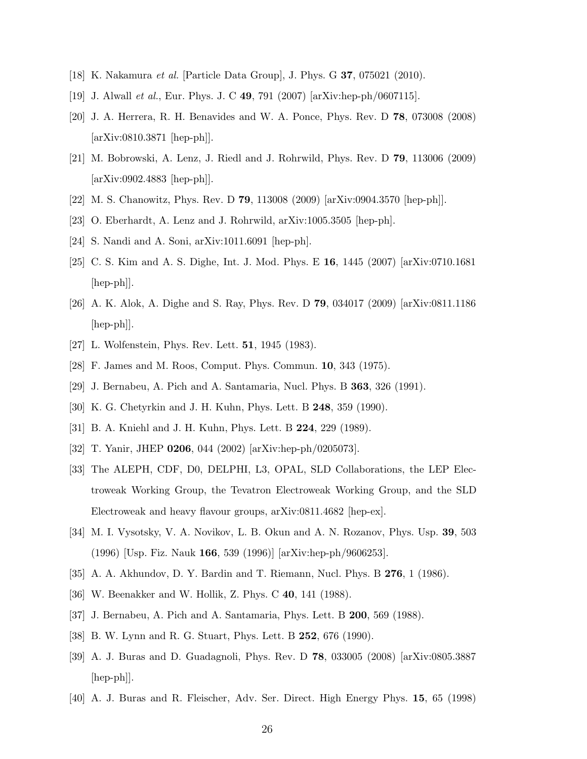- [18] K. Nakamura et al. [Particle Data Group], J. Phys. G 37, 075021 (2010).
- [19] J. Alwall et al., Eur. Phys. J. C 49, 791 (2007) [arXiv:hep-ph/0607115].
- [20] J. A. Herrera, R. H. Benavides and W. A. Ponce, Phys. Rev. D 78, 073008 (2008) [arXiv:0810.3871 [hep-ph]].
- [21] M. Bobrowski, A. Lenz, J. Riedl and J. Rohrwild, Phys. Rev. D 79, 113006 (2009) [arXiv:0902.4883 [hep-ph]].
- [22] M. S. Chanowitz, Phys. Rev. D 79, 113008 (2009) [arXiv:0904.3570 [hep-ph]].
- [23] O. Eberhardt, A. Lenz and J. Rohrwild, arXiv:1005.3505 [hep-ph].
- [24] S. Nandi and A. Soni, arXiv:1011.6091 [hep-ph].
- [25] C. S. Kim and A. S. Dighe, Int. J. Mod. Phys. E 16, 1445 (2007) [arXiv:0710.1681 [hep-ph]].
- [26] A. K. Alok, A. Dighe and S. Ray, Phys. Rev. D 79, 034017 (2009) [arXiv:0811.1186  $\vert \text{hep-ph} \vert$ .
- [27] L. Wolfenstein, Phys. Rev. Lett. 51, 1945 (1983).
- [28] F. James and M. Roos, Comput. Phys. Commun. 10, 343 (1975).
- [29] J. Bernabeu, A. Pich and A. Santamaria, Nucl. Phys. B 363, 326 (1991).
- [30] K. G. Chetyrkin and J. H. Kuhn, Phys. Lett. B 248, 359 (1990).
- [31] B. A. Kniehl and J. H. Kuhn, Phys. Lett. B 224, 229 (1989).
- [32] T. Yanir, JHEP 0206, 044 (2002) [arXiv:hep-ph/0205073].
- [33] The ALEPH, CDF, D0, DELPHI, L3, OPAL, SLD Collaborations, the LEP Electroweak Working Group, the Tevatron Electroweak Working Group, and the SLD Electroweak and heavy flavour groups, arXiv:0811.4682 [hep-ex].
- [34] M. I. Vysotsky, V. A. Novikov, L. B. Okun and A. N. Rozanov, Phys. Usp. 39, 503 (1996) [Usp. Fiz. Nauk 166, 539 (1996)] [arXiv:hep-ph/9606253].
- [35] A. A. Akhundov, D. Y. Bardin and T. Riemann, Nucl. Phys. B 276, 1 (1986).
- [36] W. Beenakker and W. Hollik, Z. Phys. C 40, 141 (1988).
- [37] J. Bernabeu, A. Pich and A. Santamaria, Phys. Lett. B 200, 569 (1988).
- [38] B. W. Lynn and R. G. Stuart, Phys. Lett. B 252, 676 (1990).
- [39] A. J. Buras and D. Guadagnoli, Phys. Rev. D 78, 033005 (2008) [arXiv:0805.3887  $\vert \text{hep-ph} \vert$ .
- [40] A. J. Buras and R. Fleischer, Adv. Ser. Direct. High Energy Phys. 15, 65 (1998)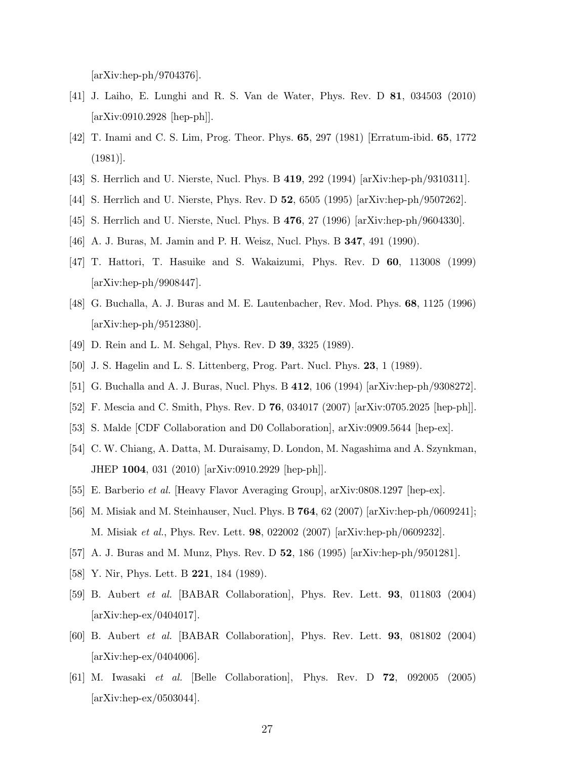[arXiv:hep-ph/9704376].

- [41] J. Laiho, E. Lunghi and R. S. Van de Water, Phys. Rev. D 81, 034503 (2010) [arXiv:0910.2928 [hep-ph]].
- [42] T. Inami and C. S. Lim, Prog. Theor. Phys. 65, 297 (1981) [Erratum-ibid. 65, 1772 (1981)].
- [43] S. Herrlich and U. Nierste, Nucl. Phys. B 419, 292 (1994) [arXiv:hep-ph/9310311].
- [44] S. Herrlich and U. Nierste, Phys. Rev. D 52, 6505 (1995) [arXiv:hep-ph/9507262].
- [45] S. Herrlich and U. Nierste, Nucl. Phys. B 476, 27 (1996) [arXiv:hep-ph/9604330].
- [46] A. J. Buras, M. Jamin and P. H. Weisz, Nucl. Phys. B 347, 491 (1990).
- [47] T. Hattori, T. Hasuike and S. Wakaizumi, Phys. Rev. D 60, 113008 (1999) [arXiv:hep-ph/9908447].
- [48] G. Buchalla, A. J. Buras and M. E. Lautenbacher, Rev. Mod. Phys. 68, 1125 (1996) [arXiv:hep-ph/9512380].
- [49] D. Rein and L. M. Sehgal, Phys. Rev. D 39, 3325 (1989).
- [50] J. S. Hagelin and L. S. Littenberg, Prog. Part. Nucl. Phys. 23, 1 (1989).
- [51] G. Buchalla and A. J. Buras, Nucl. Phys. B 412, 106 (1994) [arXiv:hep-ph/9308272].
- [52] F. Mescia and C. Smith, Phys. Rev. D 76, 034017 (2007) [arXiv:0705.2025 [hep-ph]].
- [53] S. Malde [CDF Collaboration and D0 Collaboration], arXiv:0909.5644 [hep-ex].
- [54] C. W. Chiang, A. Datta, M. Duraisamy, D. London, M. Nagashima and A. Szynkman, JHEP 1004, 031 (2010) [arXiv:0910.2929 [hep-ph]].
- [55] E. Barberio et al. [Heavy Flavor Averaging Group], arXiv:0808.1297 [hep-ex].
- [56] M. Misiak and M. Steinhauser, Nucl. Phys. B 764, 62 (2007) [arXiv:hep-ph/0609241]; M. Misiak et al., Phys. Rev. Lett. 98, 022002 (2007) [arXiv:hep-ph/0609232].
- [57] A. J. Buras and M. Munz, Phys. Rev. D 52, 186 (1995) [arXiv:hep-ph/9501281].
- [58] Y. Nir, Phys. Lett. B **221**, 184 (1989).
- [59] B. Aubert et al. [BABAR Collaboration], Phys. Rev. Lett. 93, 011803 (2004) [arXiv:hep-ex/0404017].
- [60] B. Aubert et al. [BABAR Collaboration], Phys. Rev. Lett. 93, 081802 (2004) [arXiv:hep-ex/0404006].
- [61] M. Iwasaki et al. [Belle Collaboration], Phys. Rev. D 72, 092005 (2005) [arXiv:hep-ex/0503044].